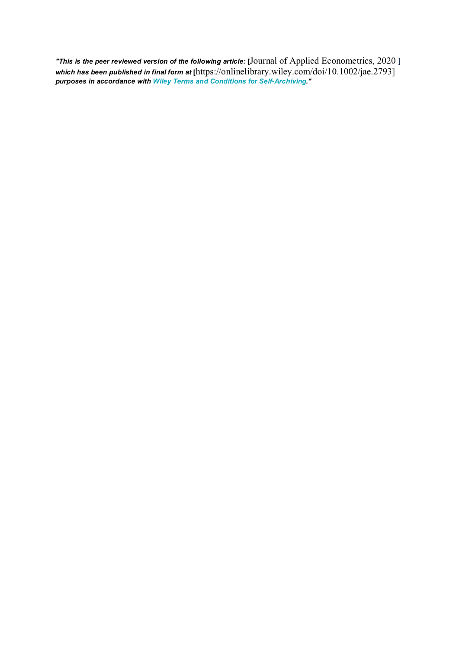*"This is the peer reviewed version of the following article:* **[**Journal of Applied Econometrics, 2020 ] *which has been published in final form at* **[**https://onlinelibrary.wiley.com/doi/10.1002/jae.2793] *purposes in accordance with Wiley Terms and Conditions for [Self-Archiving."](http://olabout.wiley.com/WileyCDA/Section/id-828039.html#terms)*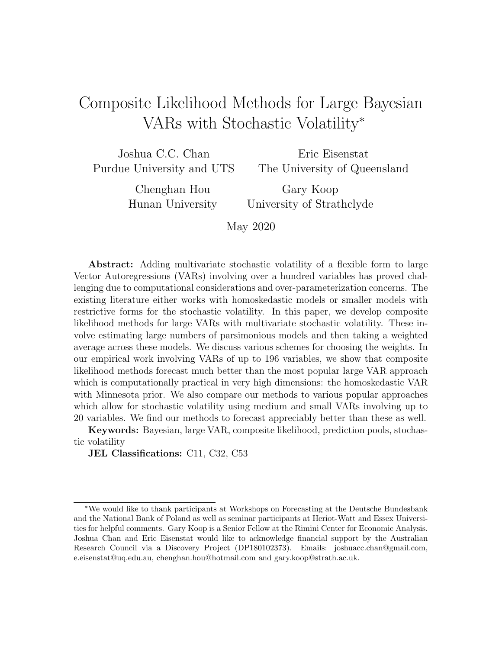# Composite Likelihood Methods for Large Bayesian VARs with Stochastic Volatility<sup>∗</sup>

Joshua C.C. Chan Purdue University and UTS

Eric Eisenstat The University of Queensland

Chenghan Hou Hunan University

Gary Koop University of Strathclyde

May 2020

Abstract: Adding multivariate stochastic volatility of a flexible form to large Vector Autoregressions (VARs) involving over a hundred variables has proved challenging due to computational considerations and over-parameterization concerns. The existing literature either works with homoskedastic models or smaller models with restrictive forms for the stochastic volatility. In this paper, we develop composite likelihood methods for large VARs with multivariate stochastic volatility. These involve estimating large numbers of parsimonious models and then taking a weighted average across these models. We discuss various schemes for choosing the weights. In our empirical work involving VARs of up to 196 variables, we show that composite likelihood methods forecast much better than the most popular large VAR approach which is computationally practical in very high dimensions: the homoskedastic VAR with Minnesota prior. We also compare our methods to various popular approaches which allow for stochastic volatility using medium and small VARs involving up to 20 variables. We find our methods to forecast appreciably better than these as well.

Keywords: Bayesian, large VAR, composite likelihood, prediction pools, stochastic volatility

JEL Classifications: C11, C32, C53

<sup>∗</sup>We would like to thank participants at Workshops on Forecasting at the Deutsche Bundesbank and the National Bank of Poland as well as seminar participants at Heriot-Watt and Essex Universities for helpful comments. Gary Koop is a Senior Fellow at the Rimini Center for Economic Analysis. Joshua Chan and Eric Eisenstat would like to acknowledge financial support by the Australian Research Council via a Discovery Project (DP180102373). Emails: joshuacc.chan@gmail.com, e.eisenstat@uq.edu.au, chenghan.hou@hotmail.com and gary.koop@strath.ac.uk.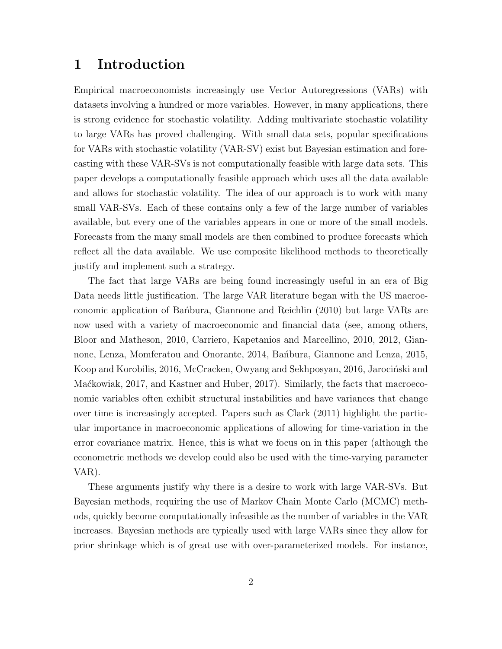### 1 Introduction

Empirical macroeconomists increasingly use Vector Autoregressions (VARs) with datasets involving a hundred or more variables. However, in many applications, there is strong evidence for stochastic volatility. Adding multivariate stochastic volatility to large VARs has proved challenging. With small data sets, popular specifications for VARs with stochastic volatility (VAR-SV) exist but Bayesian estimation and forecasting with these VAR-SVs is not computationally feasible with large data sets. This paper develops a computationally feasible approach which uses all the data available and allows for stochastic volatility. The idea of our approach is to work with many small VAR-SVs. Each of these contains only a few of the large number of variables available, but every one of the variables appears in one or more of the small models. Forecasts from the many small models are then combined to produce forecasts which reflect all the data available. We use composite likelihood methods to theoretically justify and implement such a strategy.

The fact that large VARs are being found increasingly useful in an era of Big Data needs little justification. The large VAR literature began with the US macroeconomic application of Ban<sup>o</sup>bura, Giannone and Reichlin (2010) but large VARs are now used with a variety of macroeconomic and financial data (see, among others, Bloor and Matheson, 2010, Carriero, Kapetanios and Marcellino, 2010, 2012, Giannone, Lenza, Momferatou and Onorante, 2014, Bañbura, Giannone and Lenza, 2015, Koop and Korobilis, 2016, McCracken, Owyang and Sekhposyan, 2016, Jarociński and Maćkowiak, 2017, and Kastner and Huber, 2017). Similarly, the facts that macroeconomic variables often exhibit structural instabilities and have variances that change over time is increasingly accepted. Papers such as Clark (2011) highlight the particular importance in macroeconomic applications of allowing for time-variation in the error covariance matrix. Hence, this is what we focus on in this paper (although the econometric methods we develop could also be used with the time-varying parameter VAR).

These arguments justify why there is a desire to work with large VAR-SVs. But Bayesian methods, requiring the use of Markov Chain Monte Carlo (MCMC) methods, quickly become computationally infeasible as the number of variables in the VAR increases. Bayesian methods are typically used with large VARs since they allow for prior shrinkage which is of great use with over-parameterized models. For instance,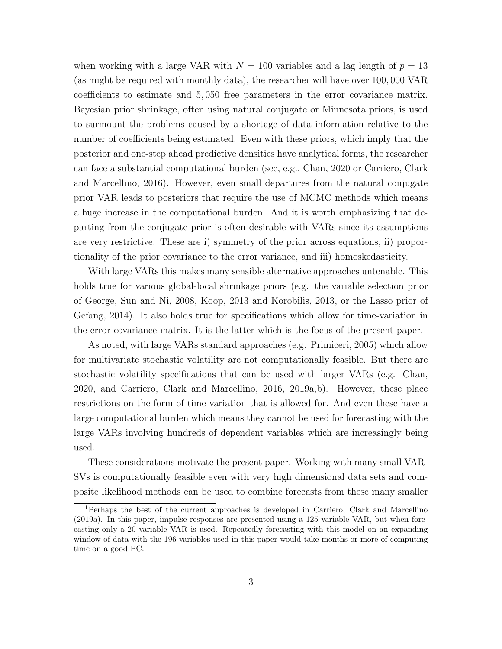when working with a large VAR with  $N = 100$  variables and a lag length of  $p = 13$ (as might be required with monthly data), the researcher will have over 100, 000 VAR coefficients to estimate and 5, 050 free parameters in the error covariance matrix. Bayesian prior shrinkage, often using natural conjugate or Minnesota priors, is used to surmount the problems caused by a shortage of data information relative to the number of coefficients being estimated. Even with these priors, which imply that the posterior and one-step ahead predictive densities have analytical forms, the researcher can face a substantial computational burden (see, e.g., Chan, 2020 or Carriero, Clark and Marcellino, 2016). However, even small departures from the natural conjugate prior VAR leads to posteriors that require the use of MCMC methods which means a huge increase in the computational burden. And it is worth emphasizing that departing from the conjugate prior is often desirable with VARs since its assumptions are very restrictive. These are i) symmetry of the prior across equations, ii) proportionality of the prior covariance to the error variance, and iii) homoskedasticity.

With large VARs this makes many sensible alternative approaches untenable. This holds true for various global-local shrinkage priors (e.g. the variable selection prior of George, Sun and Ni, 2008, Koop, 2013 and Korobilis, 2013, or the Lasso prior of Gefang, 2014). It also holds true for specifications which allow for time-variation in the error covariance matrix. It is the latter which is the focus of the present paper.

As noted, with large VARs standard approaches (e.g. Primiceri, 2005) which allow for multivariate stochastic volatility are not computationally feasible. But there are stochastic volatility specifications that can be used with larger VARs (e.g. Chan, 2020, and Carriero, Clark and Marcellino, 2016, 2019a,b). However, these place restrictions on the form of time variation that is allowed for. And even these have a large computational burden which means they cannot be used for forecasting with the large VARs involving hundreds of dependent variables which are increasingly being  $used.<sup>1</sup>$ 

These considerations motivate the present paper. Working with many small VAR-SVs is computationally feasible even with very high dimensional data sets and composite likelihood methods can be used to combine forecasts from these many smaller

<sup>1</sup>Perhaps the best of the current approaches is developed in Carriero, Clark and Marcellino (2019a). In this paper, impulse responses are presented using a 125 variable VAR, but when forecasting only a 20 variable VAR is used. Repeatedly forecasting with this model on an expanding window of data with the 196 variables used in this paper would take months or more of computing time on a good PC.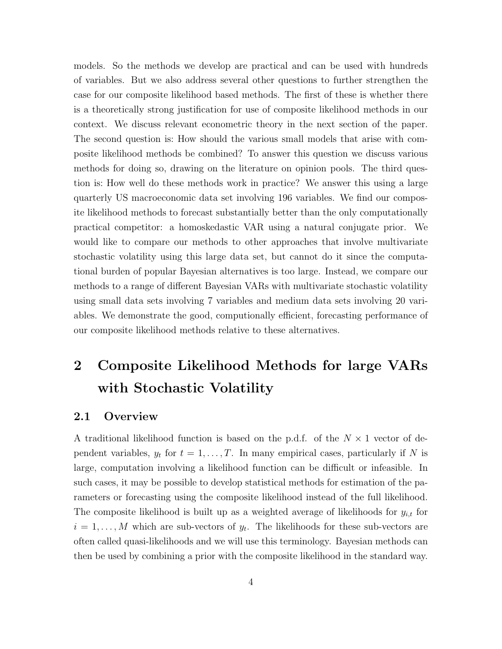models. So the methods we develop are practical and can be used with hundreds of variables. But we also address several other questions to further strengthen the case for our composite likelihood based methods. The first of these is whether there is a theoretically strong justification for use of composite likelihood methods in our context. We discuss relevant econometric theory in the next section of the paper. The second question is: How should the various small models that arise with composite likelihood methods be combined? To answer this question we discuss various methods for doing so, drawing on the literature on opinion pools. The third question is: How well do these methods work in practice? We answer this using a large quarterly US macroeconomic data set involving 196 variables. We find our composite likelihood methods to forecast substantially better than the only computationally practical competitor: a homoskedastic VAR using a natural conjugate prior. We would like to compare our methods to other approaches that involve multivariate stochastic volatility using this large data set, but cannot do it since the computational burden of popular Bayesian alternatives is too large. Instead, we compare our methods to a range of different Bayesian VARs with multivariate stochastic volatility using small data sets involving 7 variables and medium data sets involving 20 variables. We demonstrate the good, computionally efficient, forecasting performance of our composite likelihood methods relative to these alternatives.

# 2 Composite Likelihood Methods for large VARs with Stochastic Volatility

#### 2.1 Overview

A traditional likelihood function is based on the p.d.f. of the  $N \times 1$  vector of dependent variables,  $y_t$  for  $t = 1, \ldots, T$ . In many empirical cases, particularly if N is large, computation involving a likelihood function can be difficult or infeasible. In such cases, it may be possible to develop statistical methods for estimation of the parameters or forecasting using the composite likelihood instead of the full likelihood. The composite likelihood is built up as a weighted average of likelihoods for  $y_{i,t}$  for  $i = 1, \ldots, M$  which are sub-vectors of  $y_t$ . The likelihoods for these sub-vectors are often called quasi-likelihoods and we will use this terminology. Bayesian methods can then be used by combining a prior with the composite likelihood in the standard way.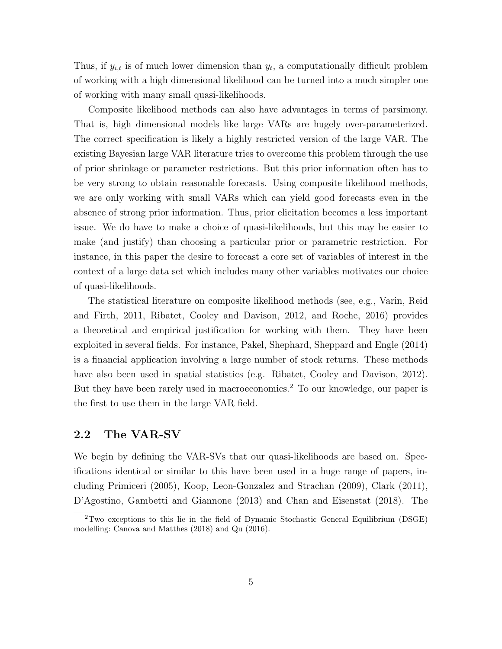Thus, if  $y_{i,t}$  is of much lower dimension than  $y_t$ , a computationally difficult problem of working with a high dimensional likelihood can be turned into a much simpler one of working with many small quasi-likelihoods.

Composite likelihood methods can also have advantages in terms of parsimony. That is, high dimensional models like large VARs are hugely over-parameterized. The correct specification is likely a highly restricted version of the large VAR. The existing Bayesian large VAR literature tries to overcome this problem through the use of prior shrinkage or parameter restrictions. But this prior information often has to be very strong to obtain reasonable forecasts. Using composite likelihood methods, we are only working with small VARs which can yield good forecasts even in the absence of strong prior information. Thus, prior elicitation becomes a less important issue. We do have to make a choice of quasi-likelihoods, but this may be easier to make (and justify) than choosing a particular prior or parametric restriction. For instance, in this paper the desire to forecast a core set of variables of interest in the context of a large data set which includes many other variables motivates our choice of quasi-likelihoods.

The statistical literature on composite likelihood methods (see, e.g., Varin, Reid and Firth, 2011, Ribatet, Cooley and Davison, 2012, and Roche, 2016) provides a theoretical and empirical justification for working with them. They have been exploited in several fields. For instance, Pakel, Shephard, Sheppard and Engle (2014) is a financial application involving a large number of stock returns. These methods have also been used in spatial statistics (e.g. Ribatet, Cooley and Davison, 2012). But they have been rarely used in macroeconomics.<sup>2</sup> To our knowledge, our paper is the first to use them in the large VAR field.

#### 2.2 The VAR-SV

We begin by defining the VAR-SVs that our quasi-likelihoods are based on. Specifications identical or similar to this have been used in a huge range of papers, including Primiceri (2005), Koop, Leon-Gonzalez and Strachan (2009), Clark (2011), D'Agostino, Gambetti and Giannone (2013) and Chan and Eisenstat (2018). The

<sup>2</sup>Two exceptions to this lie in the field of Dynamic Stochastic General Equilibrium (DSGE) modelling: Canova and Matthes (2018) and Qu (2016).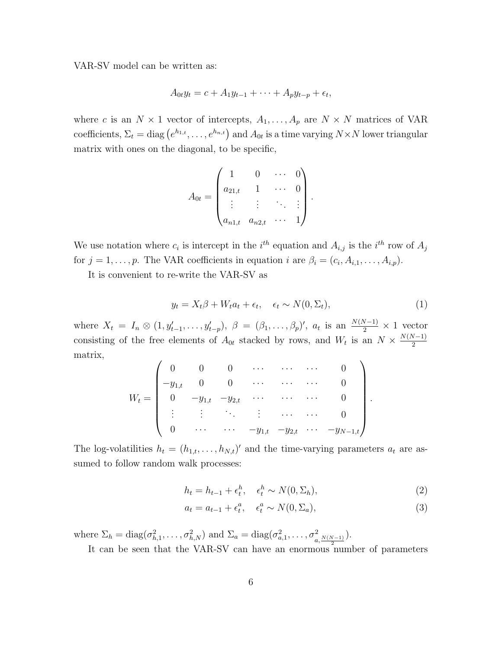VAR-SV model can be written as:

$$
A_{0t}y_t = c + A_1y_{t-1} + \cdots + A_py_{t-p} + \epsilon_t,
$$

where c is an  $N \times 1$  vector of intercepts,  $A_1, \ldots, A_p$  are  $N \times N$  matrices of VAR coefficients,  $\Sigma_t = \text{diag}(e^{h_{1,t}}, \ldots, e^{h_{n,t}})$  and  $A_{0t}$  is a time varying  $N \times N$  lower triangular matrix with ones on the diagonal, to be specific,

$$
A_{0t} = \begin{pmatrix} 1 & 0 & \cdots & 0 \\ a_{21,t} & 1 & \cdots & 0 \\ \vdots & \vdots & \ddots & \vdots \\ a_{n1,t} & a_{n2,t} & \cdots & 1 \end{pmatrix}
$$

We use notation where  $c_i$  is intercept in the  $i^{th}$  equation and  $A_{i,j}$  is the  $i^{th}$  row of  $A_j$ for  $j = 1, \ldots, p$ . The VAR coefficients in equation i are  $\beta_i = (c_i, A_{i,1}, \ldots, A_{i,p})$ .

It is convenient to re-write the VAR-SV as

$$
y_t = X_t \beta + W_t a_t + \epsilon_t, \quad \epsilon_t \sim N(0, \Sigma_t), \tag{1}
$$

.

where  $X_t = I_n \otimes (1, y'_{t-1}, \ldots, y'_{t-p}), \; \beta = (\beta_1, \ldots, \beta_p)'$ ,  $a_t$  is an  $\frac{N(N-1)}{2} \times 1$  vector consisting of the free elements of  $A_{0t}$  stacked by rows, and  $W_t$  is an  $N \times \frac{N(N-1)}{2}$ 2 matrix,

$$
W_t = \begin{pmatrix} 0 & 0 & 0 & \cdots & \cdots & \cdots & 0 \\ -y_{1,t} & 0 & 0 & \cdots & \cdots & \cdots & 0 \\ 0 & -y_{1,t} & -y_{2,t} & \cdots & \cdots & \cdots & 0 \\ \vdots & \vdots & \ddots & \vdots & \cdots & \cdots & 0 \\ 0 & \cdots & \cdots & -y_{1,t} & -y_{2,t} & \cdots & -y_{N-1,t} \end{pmatrix}.
$$

The log-volatilities  $h_t = (h_{1,t}, \ldots, h_{N,t})'$  and the time-varying parameters  $a_t$  are assumed to follow random walk processes:

$$
h_t = h_{t-1} + \epsilon_t^h, \quad \epsilon_t^h \sim N(0, \Sigma_h), \tag{2}
$$

$$
a_t = a_{t-1} + \epsilon_t^a, \quad \epsilon_t^a \sim N(0, \Sigma_a), \tag{3}
$$

where  $\Sigma_h = \text{diag}(\sigma_{h,1}^2, \ldots, \sigma_{h,N}^2)$  and  $\Sigma_a = \text{diag}(\sigma_{a,1}^2, \ldots, \sigma_{a,\frac{N(N-1)}{2}}^2)$ .

It can be seen that the VAR-SV can have an enormous number of parameters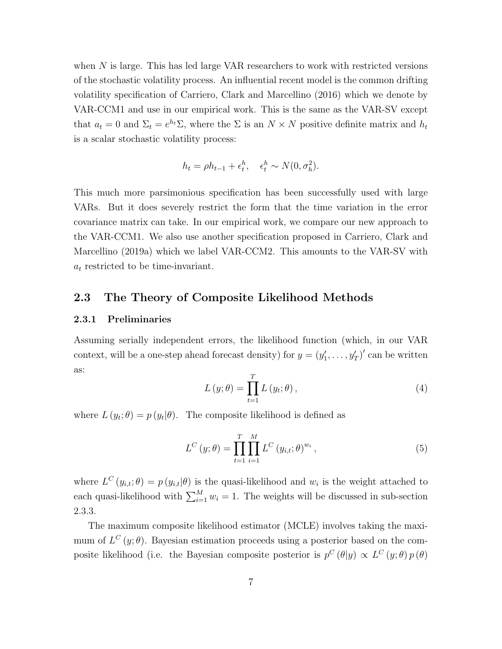when N is large. This has led large VAR researchers to work with restricted versions of the stochastic volatility process. An influential recent model is the common drifting volatility specification of Carriero, Clark and Marcellino (2016) which we denote by VAR-CCM1 and use in our empirical work. This is the same as the VAR-SV except that  $a_t = 0$  and  $\Sigma_t = e^{h_t} \Sigma$ , where the  $\Sigma$  is an  $N \times N$  positive definite matrix and  $h_t$ is a scalar stochastic volatility process:

$$
h_t = \rho h_{t-1} + \epsilon_t^h, \quad \epsilon_t^h \sim N(0, \sigma_h^2).
$$

This much more parsimonious specification has been successfully used with large VARs. But it does severely restrict the form that the time variation in the error covariance matrix can take. In our empirical work, we compare our new approach to the VAR-CCM1. We also use another specification proposed in Carriero, Clark and Marcellino (2019a) which we label VAR-CCM2. This amounts to the VAR-SV with  $a_t$  restricted to be time-invariant.

#### 2.3 The Theory of Composite Likelihood Methods

#### 2.3.1 Preliminaries

Assuming serially independent errors, the likelihood function (which, in our VAR context, will be a one-step ahead forecast density) for  $y = (y'_1, \ldots, y'_T)'$  can be written as:

$$
L(y; \theta) = \prod_{t=1}^{T} L(y_t; \theta), \qquad (4)
$$

where  $L(y_t; \theta) = p(y_t | \theta)$ . The composite likelihood is defined as

$$
L^{C}(y; \theta) = \prod_{t=1}^{T} \prod_{i=1}^{M} L^{C}(y_{i,t}; \theta)^{w_{i}},
$$
\n(5)

where  $L^{C}(y_{i,t};\theta) = p(y_{i,t}|\theta)$  is the quasi-likelihood and  $w_i$  is the weight attached to each quasi-likelihood with  $\sum_{i=1}^{M} w_i = 1$ . The weights will be discussed in sub-section 2.3.3.

The maximum composite likelihood estimator (MCLE) involves taking the maximum of  $L^{C}(y;\theta)$ . Bayesian estimation proceeds using a posterior based on the composite likelihood (i.e. the Bayesian composite posterior is  $p^C(\theta|y) \propto L^C(y;\theta)p(\theta)$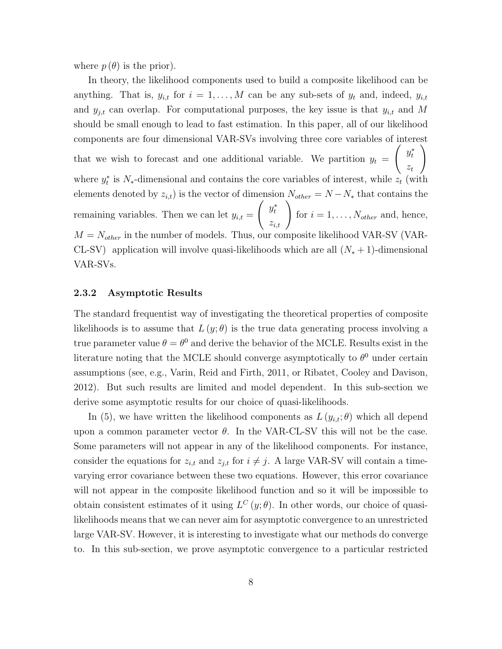where  $p(\theta)$  is the prior).

In theory, the likelihood components used to build a composite likelihood can be anything. That is,  $y_{i,t}$  for  $i = 1, ..., M$  can be any sub-sets of  $y_t$  and, indeed,  $y_{i,t}$ and  $y_{j,t}$  can overlap. For computational purposes, the key issue is that  $y_{i,t}$  and M should be small enough to lead to fast estimation. In this paper, all of our likelihood components are four dimensional VAR-SVs involving three core variables of interest that we wish to forecast and one additional variable. We partition  $y_t =$  $\int y_t^*$  $z_t$  $\setminus$ where  $y_t^*$  is  $N_*$ -dimensional and contains the core variables of interest, while  $z_t$  (with elements denoted by  $z_{i,t}$ ) is the vector of dimension  $N_{other} = N - N_{*}$  that contains the remaining variables. Then we can let  $y_{i,t} =$  $\int y_t^*$  $\left. \begin{array}{c} y^*_t \ z_{i,t} \end{array} \right)$ for  $i = 1, \ldots, N_{other}$  and, hence,  $M = N_{other}$  in the number of models. Thus, our composite likelihood VAR-SV (VAR-CL-SV) application will involve quasi-likelihoods which are all  $(N_* + 1)$ -dimensional VAR-SVs.

#### 2.3.2 Asymptotic Results

The standard frequentist way of investigating the theoretical properties of composite likelihoods is to assume that  $L(y; \theta)$  is the true data generating process involving a true parameter value  $\theta = \theta^0$  and derive the behavior of the MCLE. Results exist in the literature noting that the MCLE should converge asymptotically to  $\theta^0$  under certain assumptions (see, e.g., Varin, Reid and Firth, 2011, or Ribatet, Cooley and Davison, 2012). But such results are limited and model dependent. In this sub-section we derive some asymptotic results for our choice of quasi-likelihoods.

In (5), we have written the likelihood components as  $L(y_{i,t}; \theta)$  which all depend upon a common parameter vector  $\theta$ . In the VAR-CL-SV this will not be the case. Some parameters will not appear in any of the likelihood components. For instance, consider the equations for  $z_{i,t}$  and  $z_{j,t}$  for  $i \neq j$ . A large VAR-SV will contain a timevarying error covariance between these two equations. However, this error covariance will not appear in the composite likelihood function and so it will be impossible to obtain consistent estimates of it using  $L^C(y;\theta)$ . In other words, our choice of quasilikelihoods means that we can never aim for asymptotic convergence to an unrestricted large VAR-SV. However, it is interesting to investigate what our methods do converge to. In this sub-section, we prove asymptotic convergence to a particular restricted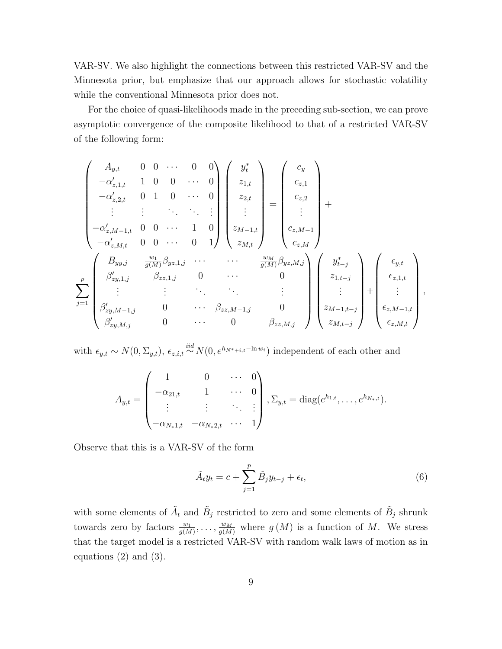VAR-SV. We also highlight the connections between this restricted VAR-SV and the Minnesota prior, but emphasize that our approach allows for stochastic volatility while the conventional Minnesota prior does not.

For the choice of quasi-likelihoods made in the preceding sub-section, we can prove asymptotic convergence of the composite likelihood to that of a restricted VAR-SV of the following form:

$$
\begin{pmatrix}\nA_{y,t} & 0 & 0 & \cdots & 0 & 0 \\
-\alpha'_{z,1,t} & 1 & 0 & 0 & \cdots & 0 \\
-\alpha'_{z,2,t} & 0 & 1 & 0 & \cdots & 0 \\
\vdots & \vdots & \ddots & \ddots & \vdots \\
-\alpha'_{z,M-1,t} & 0 & 0 & \cdots & 1 & 0 \\
-\alpha'_{z,M,t} & 0 & 0 & \cdots & 0 & 1\n\end{pmatrix}\n\begin{pmatrix}\ny_t^* \\
z_{1,t} \\
z_{2,t} \\
\vdots \\
z_{M-1,t} \\
z_{M,t}\n\end{pmatrix}\n=\n\begin{pmatrix}\nc_y \\
c_{z,1} \\
c_{z,2} \\
\vdots \\
c_{z,M-1}\n\end{pmatrix} + \n\begin{pmatrix}\n\alpha'_{y,t} \\
\alpha_{z,t} \\
\vdots \\
\alpha_{z,M-1}\n\end{pmatrix}
$$
\n
$$
\begin{pmatrix}\nB_{yy,j} & \frac{w_1}{g(M)}\beta_{yz,1,j} & \cdots & \cdots & \frac{w_M}{g(M)}\beta_{yz,M,j} \\
\beta'_{z,y,1,j} & \beta_{zz,1,j} & 0 & \cdots & 0 \\
\vdots & \vdots & \ddots & \vdots \\
\beta'_{zy,M-1,j} & 0 & \cdots & \beta_{zz,M-1,j} & 0 \\
\beta'_{zy,M,j} & 0 & \cdots & 0 & \beta_{zz,M,j}\n\end{pmatrix}\n\begin{pmatrix}\ny_{t}^* \\
y_{t-j}^* \\
z_{1,t-j}^* \\
\vdots \\
z_{M-t-j}^* \\
z_{M,t-j}^* \\
\vdots \\
z_{M,t-j}^* \\
\vdots \\
z_{M,t-j}^* \\
\end{pmatrix} + \n\begin{pmatrix}\n\epsilon_{y,t} \\
\epsilon_{z,t} \\
\epsilon_{z,t} \\
\epsilon_{z,t} \\
\epsilon_{z,t} \\
\epsilon_{z,t} \\
\epsilon_{z,t} \\
\epsilon_{z,t} \\
\epsilon_{z,t} \\
\epsilon_{z,t} \\
\epsilon_{z,t} \\
\epsilon_{z,t} \\
\epsilon_{z,t} \\
\epsilon_{z,t} \\
\epsilon_{z,t} \\
\epsilon_{z,t} \\
\epsilon_{z,t} \\
\epsilon_{z,t} \\
\epsilon_{z,t} \\
\epsilon_{z,t} \\
\epsilon_{z,t} \\
\epsilon_{z,t} \\
\epsilon_{z,t} \\
\epsilon_{z,t} \\
\epsilon_{z,t} \\
\epsilon_{z,t} \\
\epsilon_{z,t} \\
\epsilon_{z,t}
$$

with  $\epsilon_{y,t} \sim N(0, \Sigma_{y,t}), \epsilon_{z,i,t} \stackrel{iid}{\sim} N(0, e^{h_N *_{i,t}-\ln w_i})$  independent of each other and

$$
A_{y,t} = \begin{pmatrix} 1 & 0 & \cdots & 0 \\ -\alpha_{21,t} & 1 & \cdots & 0 \\ \vdots & \vdots & \ddots & \vdots \\ -\alpha_{N_*1,t} & -\alpha_{N_*2,t} & \cdots & 1 \end{pmatrix}, \Sigma_{y,t} = \text{diag}(e^{h_{1,t}}, \ldots, e^{h_{N_*,t}}).
$$

Observe that this is a VAR-SV of the form

$$
\tilde{A}_t y_t = c + \sum_{j=1}^p \tilde{B}_j y_{t-j} + \epsilon_t,
$$
\n(6)

with some elements of  $\tilde{A}_t$  and  $\tilde{B}_j$  restricted to zero and some elements of  $\tilde{B}_j$  shrunk towards zero by factors  $\frac{w_1}{g(M)}, \ldots, \frac{w_M}{g(M)}$  where  $g(M)$  is a function of M. We stress that the target model is a restricted VAR-SV with random walk laws of motion as in equations (2) and (3).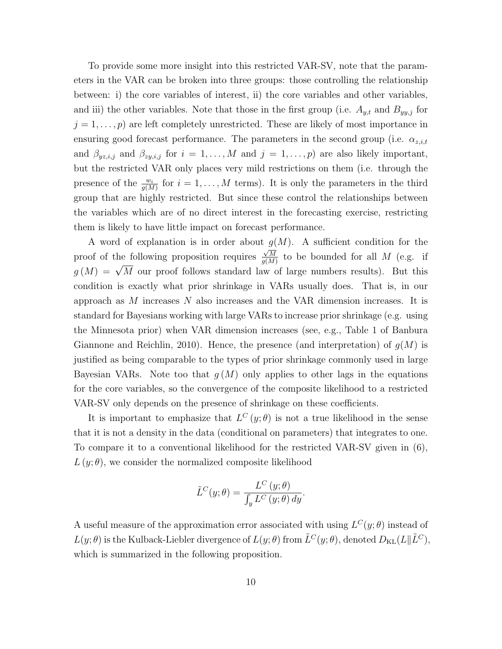To provide some more insight into this restricted VAR-SV, note that the parameters in the VAR can be broken into three groups: those controlling the relationship between: i) the core variables of interest, ii) the core variables and other variables, and iii) the other variables. Note that those in the first group (i.e.  $A_{y,t}$  and  $B_{yy,j}$  for  $j = 1, \ldots, p$  are left completely unrestricted. These are likely of most importance in ensuring good forecast performance. The parameters in the second group (i.e.  $\alpha_{z,i,t}$ ) and  $\beta_{yz,i,j}$  and  $\beta_{zy,i,j}$  for  $i = 1, \ldots, M$  and  $j = 1, \ldots, p$ ) are also likely important, but the restricted VAR only places very mild restrictions on them (i.e. through the presence of the  $\frac{w_i}{g(M)}$  for  $i = 1, ..., M$  terms). It is only the parameters in the third group that are highly restricted. But since these control the relationships between the variables which are of no direct interest in the forecasting exercise, restricting them is likely to have little impact on forecast performance.

A word of explanation is in order about  $g(M)$ . A sufficient condition for the proof of the following proposition requires  $\frac{3}{\sqrt{M}}$  $\frac{\sqrt{M}}{g(M)}$  to be bounded for all M (e.g. if g(M) =  $\sqrt{M}$  our proof follows standard law of large numbers results). But this condition is exactly what prior shrinkage in VARs usually does. That is, in our approach as  $M$  increases  $N$  also increases and the VAR dimension increases. It is standard for Bayesians working with large VARs to increase prior shrinkage (e.g. using the Minnesota prior) when VAR dimension increases (see, e.g., Table 1 of Banbura Giannone and Reichlin, 2010). Hence, the presence (and interpretation) of  $g(M)$  is justified as being comparable to the types of prior shrinkage commonly used in large Bayesian VARs. Note too that  $g(M)$  only applies to other lags in the equations for the core variables, so the convergence of the composite likelihood to a restricted VAR-SV only depends on the presence of shrinkage on these coefficients.

It is important to emphasize that  $L^C(y;\theta)$  is not a true likelihood in the sense that it is not a density in the data (conditional on parameters) that integrates to one. To compare it to a conventional likelihood for the restricted VAR-SV given in (6),  $L(y; \theta)$ , we consider the normalized composite likelihood

$$
\tilde{L}^C(y; \theta) = \frac{L^C(y; \theta)}{\int_y L^C(y; \theta) dy}.
$$

A useful measure of the approximation error associated with using  $L^C(y; \theta)$  instead of  $L(y; \theta)$  is the Kulback-Liebler divergence of  $L(y; \theta)$  from  $\tilde{L}^C(y; \theta)$ , denoted  $D_{KL}(L||\tilde{L}^C)$ , which is summarized in the following proposition.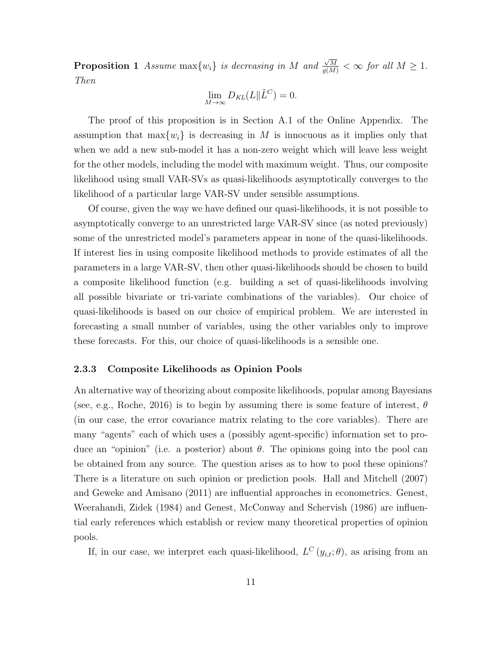**Proposition 1** Assume  $max\{w_i\}$  is decreasing in M and  $\frac{\sqrt{M}}{g(M)} < \infty$  for all  $M \geq 1$ . Then

$$
\lim_{M \to \infty} D_{KL}(L \| \tilde{L}^C) = 0.
$$

The proof of this proposition is in Section A.1 of the Online Appendix. The assumption that  $\max\{w_i\}$  is decreasing in M is innocuous as it implies only that when we add a new sub-model it has a non-zero weight which will leave less weight for the other models, including the model with maximum weight. Thus, our composite likelihood using small VAR-SVs as quasi-likelihoods asymptotically converges to the likelihood of a particular large VAR-SV under sensible assumptions.

Of course, given the way we have defined our quasi-likelihoods, it is not possible to asymptotically converge to an unrestricted large VAR-SV since (as noted previously) some of the unrestricted model's parameters appear in none of the quasi-likelihoods. If interest lies in using composite likelihood methods to provide estimates of all the parameters in a large VAR-SV, then other quasi-likelihoods should be chosen to build a composite likelihood function (e.g. building a set of quasi-likelihoods involving all possible bivariate or tri-variate combinations of the variables). Our choice of quasi-likelihoods is based on our choice of empirical problem. We are interested in forecasting a small number of variables, using the other variables only to improve these forecasts. For this, our choice of quasi-likelihoods is a sensible one.

#### 2.3.3 Composite Likelihoods as Opinion Pools

An alternative way of theorizing about composite likelihoods, popular among Bayesians (see, e.g., Roche, 2016) is to begin by assuming there is some feature of interest,  $\theta$ (in our case, the error covariance matrix relating to the core variables). There are many "agents" each of which uses a (possibly agent-specific) information set to produce an "opinion" (i.e. a posterior) about  $\theta$ . The opinions going into the pool can be obtained from any source. The question arises as to how to pool these opinions? There is a literature on such opinion or prediction pools. Hall and Mitchell (2007) and Geweke and Amisano (2011) are influential approaches in econometrics. Genest, Weerahandi, Zidek (1984) and Genest, McConway and Schervish (1986) are influential early references which establish or review many theoretical properties of opinion pools.

If, in our case, we interpret each quasi-likelihood,  $L^{C}(y_{i,t};\theta)$ , as arising from an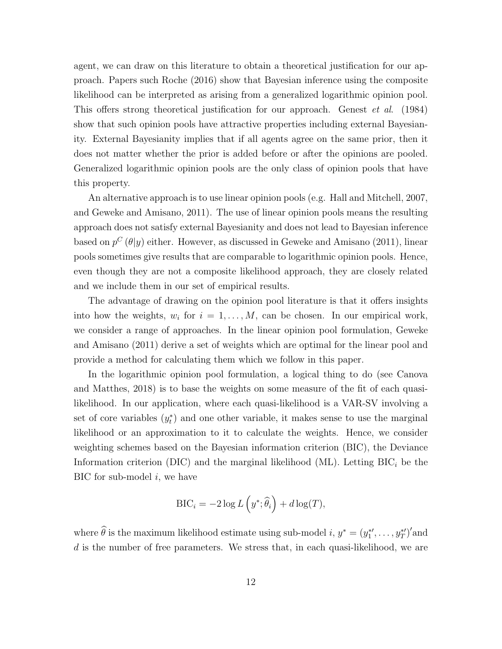agent, we can draw on this literature to obtain a theoretical justification for our approach. Papers such Roche (2016) show that Bayesian inference using the composite likelihood can be interpreted as arising from a generalized logarithmic opinion pool. This offers strong theoretical justification for our approach. Genest et al. (1984) show that such opinion pools have attractive properties including external Bayesianity. External Bayesianity implies that if all agents agree on the same prior, then it does not matter whether the prior is added before or after the opinions are pooled. Generalized logarithmic opinion pools are the only class of opinion pools that have this property.

An alternative approach is to use linear opinion pools (e.g. Hall and Mitchell, 2007, and Geweke and Amisano, 2011). The use of linear opinion pools means the resulting approach does not satisfy external Bayesianity and does not lead to Bayesian inference based on  $p^C(\theta|y)$  either. However, as discussed in Geweke and Amisano (2011), linear pools sometimes give results that are comparable to logarithmic opinion pools. Hence, even though they are not a composite likelihood approach, they are closely related and we include them in our set of empirical results.

The advantage of drawing on the opinion pool literature is that it offers insights into how the weights,  $w_i$  for  $i = 1, ..., M$ , can be chosen. In our empirical work, we consider a range of approaches. In the linear opinion pool formulation, Geweke and Amisano (2011) derive a set of weights which are optimal for the linear pool and provide a method for calculating them which we follow in this paper.

In the logarithmic opinion pool formulation, a logical thing to do (see Canova and Matthes, 2018) is to base the weights on some measure of the fit of each quasilikelihood. In our application, where each quasi-likelihood is a VAR-SV involving a set of core variables  $(y<sub>t</sub><sup>*</sup>)$  and one other variable, it makes sense to use the marginal likelihood or an approximation to it to calculate the weights. Hence, we consider weighting schemes based on the Bayesian information criterion (BIC), the Deviance Information criterion (DIC) and the marginal likelihood (ML). Letting  $BIC<sub>i</sub>$  be the  $BIC$  for sub-model *i*, we have

$$
\text{BIC}_i = -2\log L\left(y^*; \widehat{\theta}_i\right) + d\log(T),
$$

where  $\widehat{\theta}$  is the maximum likelihood estimate using sub-model  $i, y^* = (y_1^{*}, \dots, y_T^{*})'$  and d is the number of free parameters. We stress that, in each quasi-likelihood, we are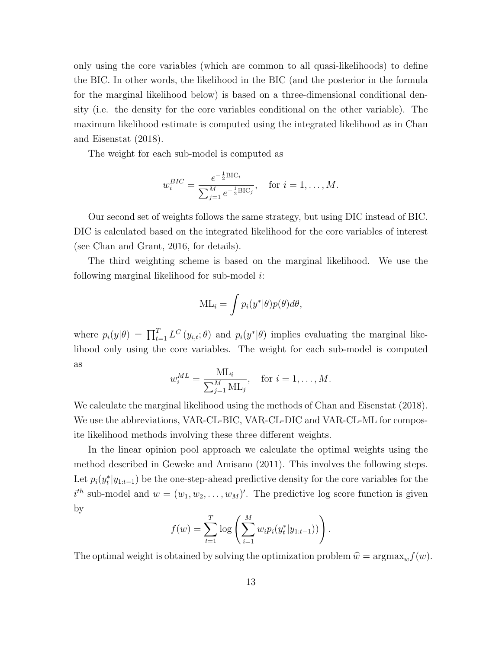only using the core variables (which are common to all quasi-likelihoods) to define the BIC. In other words, the likelihood in the BIC (and the posterior in the formula for the marginal likelihood below) is based on a three-dimensional conditional density (i.e. the density for the core variables conditional on the other variable). The maximum likelihood estimate is computed using the integrated likelihood as in Chan and Eisenstat (2018).

The weight for each sub-model is computed as

$$
w_i^{BIC} = \frac{e^{-\frac{1}{2}BIC_i}}{\sum_{j=1}^M e^{-\frac{1}{2}BIC_j}}, \text{ for } i = 1, ..., M.
$$

Our second set of weights follows the same strategy, but using DIC instead of BIC. DIC is calculated based on the integrated likelihood for the core variables of interest (see Chan and Grant, 2016, for details).

The third weighting scheme is based on the marginal likelihood. We use the following marginal likelihood for sub-model  $i$ :

$$
ML_i = \int p_i(y^*|\theta)p(\theta)d\theta,
$$

where  $p_i(y|\theta) = \prod_{t=1}^T L^C(y_{i,t};\theta)$  and  $p_i(y^*|\theta)$  implies evaluating the marginal likelihood only using the core variables. The weight for each sub-model is computed as

$$
w_i^{ML} = \frac{\mathrm{ML}_i}{\sum_{j=1}^M \mathrm{ML}_j}, \quad \text{for } i = 1, \dots, M.
$$

We calculate the marginal likelihood using the methods of Chan and Eisenstat (2018). We use the abbreviations, VAR-CL-BIC, VAR-CL-DIC and VAR-CL-ML for composite likelihood methods involving these three different weights.

In the linear opinion pool approach we calculate the optimal weights using the method described in Geweke and Amisano (2011). This involves the following steps. Let  $p_i(y_t^*|y_{1:t-1})$  be the one-step-ahead predictive density for the core variables for the  $i^{th}$  sub-model and  $w = (w_1, w_2, \dots, w_M)'$ . The predictive log score function is given by

$$
f(w) = \sum_{t=1}^{T} \log \left( \sum_{i=1}^{M} w_i p_i(y_t^* | y_{1:t-1})) \right).
$$

The optimal weight is obtained by solving the optimization problem  $\hat{w} = \argmax_w f(w)$ .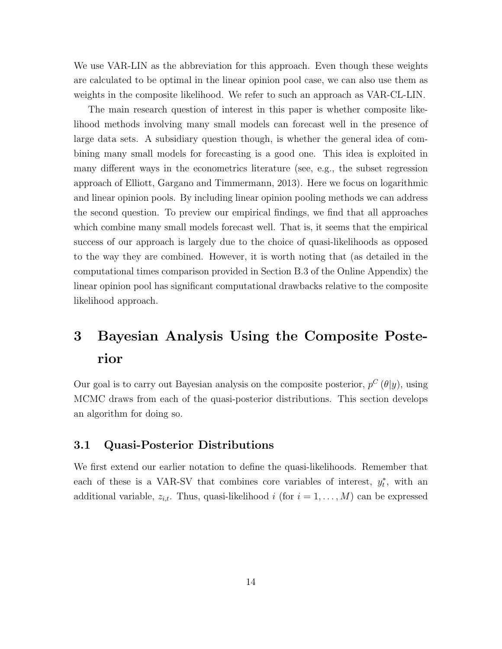We use VAR-LIN as the abbreviation for this approach. Even though these weights are calculated to be optimal in the linear opinion pool case, we can also use them as weights in the composite likelihood. We refer to such an approach as VAR-CL-LIN.

The main research question of interest in this paper is whether composite likelihood methods involving many small models can forecast well in the presence of large data sets. A subsidiary question though, is whether the general idea of combining many small models for forecasting is a good one. This idea is exploited in many different ways in the econometrics literature (see, e.g., the subset regression approach of Elliott, Gargano and Timmermann, 2013). Here we focus on logarithmic and linear opinion pools. By including linear opinion pooling methods we can address the second question. To preview our empirical findings, we find that all approaches which combine many small models forecast well. That is, it seems that the empirical success of our approach is largely due to the choice of quasi-likelihoods as opposed to the way they are combined. However, it is worth noting that (as detailed in the computational times comparison provided in Section B.3 of the Online Appendix) the linear opinion pool has significant computational drawbacks relative to the composite likelihood approach.

## 3 Bayesian Analysis Using the Composite Posterior

Our goal is to carry out Bayesian analysis on the composite posterior,  $p^C(\theta|y)$ , using MCMC draws from each of the quasi-posterior distributions. This section develops an algorithm for doing so.

#### 3.1 Quasi-Posterior Distributions

We first extend our earlier notation to define the quasi-likelihoods. Remember that each of these is a VAR-SV that combines core variables of interest,  $y_t^*$ , with an additional variable,  $z_{i,t}$ . Thus, quasi-likelihood i (for  $i = 1, ..., M$ ) can be expressed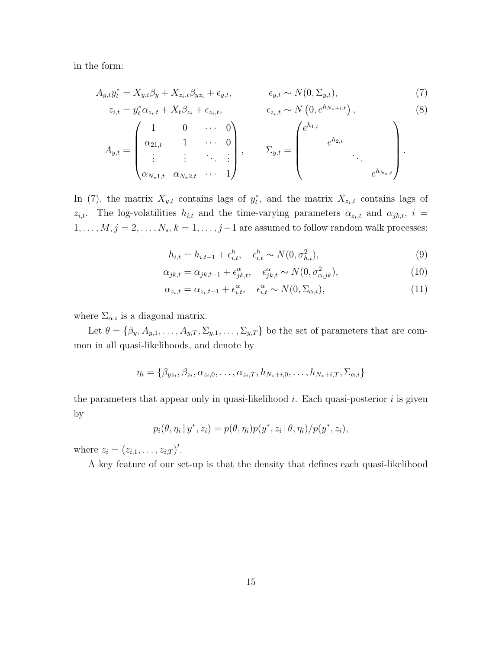in the form:

$$
A_{y,t}y_t^* = X_{y,t}\beta_y + X_{z_t,t}\beta_{yz_t} + \epsilon_{y,t}, \qquad \epsilon_{y,t} \sim N(0, \Sigma_{y,t}), \qquad (7)
$$

$$
z_{i,t} = y_t^* \alpha_{z_i, t} + X_t \beta_{z_i} + \epsilon_{z_i, t}, \qquad \epsilon_{z_i, t} \sim N\left(0, e^{h_{N_*+i,t}}\right), \qquad (8)
$$

$$
A_{y,t} = \begin{pmatrix} 1 & 0 & \cdots & 0 \\ \alpha_{21,t} & 1 & \cdots & 0 \\ \vdots & \vdots & \ddots & \vdots \\ \alpha_{N_*1,t} & \alpha_{N_*2,t} & \cdots & 1 \end{pmatrix}, \qquad \Sigma_{y,t} = \begin{pmatrix} e^{h_{1,t}} & & & \\ & e^{h_{2,t}} & & \\ & & \ddots & \\ & & & e^{h_{N_*,t}} \end{pmatrix}.
$$

In (7), the matrix  $X_{y,t}$  contains lags of  $y_t^*$ , and the matrix  $X_{z_t,t}$  contains lags of  $z_{i,t}$ . The log-volatilities  $h_{i,t}$  and the time-varying parameters  $\alpha_{z_i,t}$  and  $\alpha_{jk,t}$ ,  $i =$  $1, \ldots, M, j = 2, \ldots, N_*, k = 1, \ldots, j-1$  are assumed to follow random walk processes:

$$
h_{i,t} = h_{i,t-1} + \epsilon_{i,t}^h, \quad \epsilon_{i,t}^h \sim N(0, \sigma_{h,i}^2), \tag{9}
$$

$$
\alpha_{jk,t} = \alpha_{jk,t-1} + \epsilon_{jk,t}^{\alpha}, \quad \epsilon_{jk,t}^{\alpha} \sim N(0, \sigma_{\alpha,jk}^2), \tag{10}
$$

$$
\alpha_{z_i,t} = \alpha_{z_i,t-1} + \epsilon_{i,t}^{\alpha}, \quad \epsilon_{i,t}^{\alpha} \sim N(0, \Sigma_{\alpha,i}),
$$
\n(11)

where  $\Sigma_{\alpha,i}$  is a diagonal matrix.

Let  $\theta = {\beta_y, A_{y,1}, \ldots, A_{y,T}, \Sigma_{y,1}, \ldots, \Sigma_{y,T}}$  be the set of parameters that are common in all quasi-likelihoods, and denote by

$$
\eta_i = \{ \beta_{yz_i}, \beta_{z_i}, \alpha_{z_i,0}, \dots, \alpha_{z_i,T}, h_{N_*+i,0}, \dots, h_{N_*+i,T}, \Sigma_{\alpha,i} \}
$$

the parameters that appear only in quasi-likelihood  $i$ . Each quasi-posterior  $i$  is given by

$$
p_i(\theta, \eta_i | y^*, z_i) = p(\theta, \eta_i) p(y^*, z_i | \theta, \eta_i) / p(y^*, z_i),
$$

where  $z_i = (z_{i,1}, \ldots, z_{i,T})'$ .

A key feature of our set-up is that the density that defines each quasi-likelihood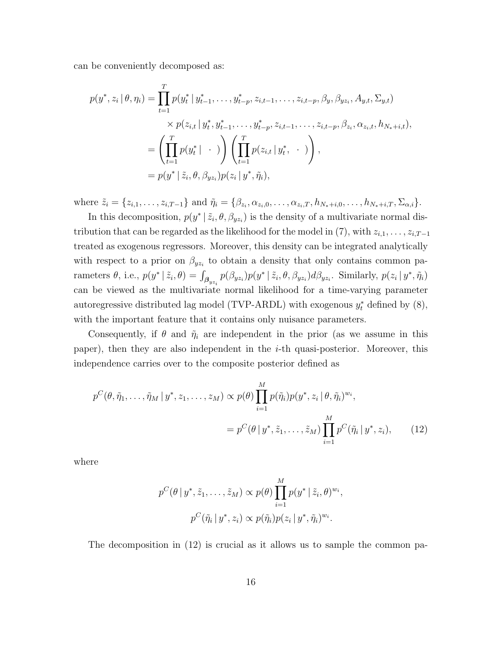can be conveniently decomposed as:

$$
p(y^*, z_i | \theta, \eta_i) = \prod_{t=1}^T p(y_t^* | y_{t-1}^*, \dots, y_{t-p}^*, z_{i,t-1}, \dots, z_{i,t-p}, \beta_y, \beta_{yz_i}, A_{y,t}, \Sigma_{y,t})
$$
  
\n
$$
\times p(z_{i,t} | y_t^*, y_{t-1}^*, \dots, y_{t-p}^*, z_{i,t-1}, \dots, z_{i,t-p}, \beta_{z_i}, \alpha_{z_i,t}, h_{N_*+i,t}),
$$
  
\n
$$
= \left( \prod_{t=1}^T p(y_t^* | \cdot) \right) \left( \prod_{t=1}^T p(z_{i,t} | y_t^*, \cdot) \right),
$$
  
\n
$$
= p(y^* | \tilde{z}_i, \theta, \beta_{yz_i}) p(z_i | y^*, \tilde{\eta}_i),
$$

where  $\tilde{z}_i = \{z_{i,1}, \ldots, z_{i,T-1}\}\$  and  $\tilde{\eta}_i = \{\beta_{z_i}, \alpha_{z_i,0}, \ldots, \alpha_{z_i,T}, h_{N_*+i,0}, \ldots, h_{N_*+i,T}, \Sigma_{\alpha,i}\}.$ 

In this decomposition,  $p(y^* | \tilde{z}_i, \theta, \beta_{yz_i})$  is the density of a multivariate normal distribution that can be regarded as the likelihood for the model in (7), with  $z_{i,1}, \ldots, z_{i,T-1}$ treated as exogenous regressors. Moreover, this density can be integrated analytically with respect to a prior on  $\beta_{yz_i}$  to obtain a density that only contains common parameters  $\theta$ , i.e.,  $p(y^* | \tilde{z}_i, \theta) = \int_{\beta_{yz_i}} p(\beta_{yz_i}) p(y^* | \tilde{z}_i, \theta, \beta_{yz_i}) d\beta_{yz_i}$ . Similarly,  $p(z_i | y^*, \tilde{\eta}_i)$ can be viewed as the multivariate normal likelihood for a time-varying parameter autoregressive distributed lag model (TVP-ARDL) with exogenous  $y_t^*$  defined by  $(8)$ , with the important feature that it contains only nuisance parameters.

Consequently, if  $\theta$  and  $\tilde{\eta}_i$  are independent in the prior (as we assume in this paper), then they are also independent in the i-th quasi-posterior. Moreover, this independence carries over to the composite posterior defined as

$$
p^{C}(\theta, \tilde{\eta}_{1}, \dots, \tilde{\eta}_{M} | y^{*}, z_{1}, \dots, z_{M}) \propto p(\theta) \prod_{i=1}^{M} p(\tilde{\eta}_{i}) p(y^{*}, z_{i} | \theta, \tilde{\eta}_{i})^{w_{i}},
$$
  
= 
$$
p^{C}(\theta | y^{*}, \tilde{z}_{1}, \dots, \tilde{z}_{M}) \prod_{i=1}^{M} p^{C}(\tilde{\eta}_{i} | y^{*}, z_{i}),
$$
 (12)

where

$$
p^{C}(\theta | y^*, \tilde{z}_1, \dots, \tilde{z}_M) \propto p(\theta) \prod_{i=1}^M p(y^* | \tilde{z}_i, \theta)^{w_i},
$$
  

$$
p^{C}(\tilde{\eta}_i | y^*, z_i) \propto p(\tilde{\eta}_i) p(z_i | y^*, \tilde{\eta}_i)^{w_i}.
$$

The decomposition in (12) is crucial as it allows us to sample the common pa-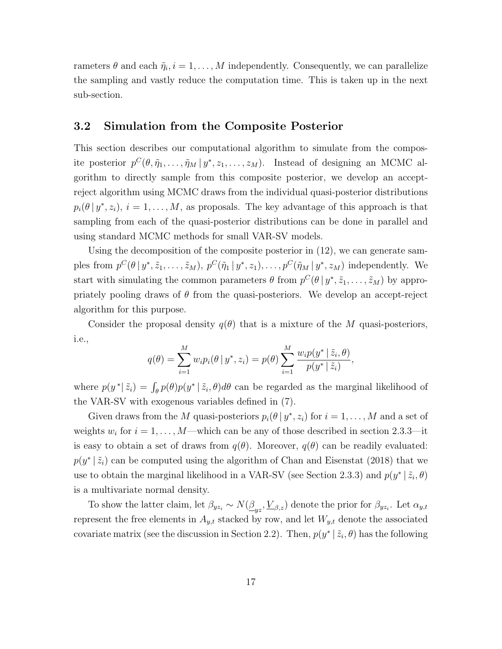rameters  $\theta$  and each  $\tilde{\eta}_i, i = 1, \ldots, M$  independently. Consequently, we can parallelize the sampling and vastly reduce the computation time. This is taken up in the next sub-section.

#### 3.2 Simulation from the Composite Posterior

This section describes our computational algorithm to simulate from the composite posterior  $p^C(\theta, \tilde{\eta}_1, \ldots, \tilde{\eta}_M | y^*, z_1, \ldots, z_M)$ . Instead of designing an MCMC algorithm to directly sample from this composite posterior, we develop an acceptreject algorithm using MCMC draws from the individual quasi-posterior distributions  $p_i(\theta | y^*, z_i), i = 1, \ldots, M$ , as proposals. The key advantage of this approach is that sampling from each of the quasi-posterior distributions can be done in parallel and using standard MCMC methods for small VAR-SV models.

Using the decomposition of the composite posterior in (12), we can generate samples from  $p^C(\theta | y^*, \tilde{z}_1, \ldots, \tilde{z}_M)$ ,  $p^C(\tilde{\eta}_1 | y^*, z_1), \ldots, p^C(\tilde{\eta}_M | y^*, z_M)$  independently. We start with simulating the common parameters  $\theta$  from  $p^C(\theta | y^*, \tilde{z}_1, \dots, \tilde{z}_M)$  by appropriately pooling draws of  $\theta$  from the quasi-posteriors. We develop an accept-reject algorithm for this purpose.

Consider the proposal density  $q(\theta)$  that is a mixture of the M quasi-posteriors, i.e.,

$$
q(\theta) = \sum_{i=1}^{M} w_i p_i(\theta | y^*, z_i) = p(\theta) \sum_{i=1}^{M} \frac{w_i p(y^* | \tilde{z}_i, \theta)}{p(y^* | \tilde{z}_i)},
$$

where  $p(y^*|\tilde{z}_i) = \int_{\theta} p(\theta)p(y^*|\tilde{z}_i, \theta)d\theta$  can be regarded as the marginal likelihood of the VAR-SV with exogenous variables defined in (7).

Given draws from the M quasi-posteriors  $p_i(\theta | y^*, z_i)$  for  $i = 1, ..., M$  and a set of weights  $w_i$  for  $i = 1, ..., M$ —which can be any of those described in section 2.3.3—it is easy to obtain a set of draws from  $q(\theta)$ . Moreover,  $q(\theta)$  can be readily evaluated:  $p(y^* | \tilde{z}_i)$  can be computed using the algorithm of Chan and Eisenstat (2018) that we use to obtain the marginal likelihood in a VAR-SV (see Section 2.3.3) and  $p(y^* | \tilde{z}_i, \theta)$ is a multivariate normal density.

To show the latter claim, let  $\beta_{yz_i} \sim N(\underline{\beta}_{yz}, \underline{V}_{\beta,z})$  denote the prior for  $\beta_{yz_i}$ . Let  $\alpha_{y,t}$ represent the free elements in  $A_{y,t}$  stacked by row, and let  $W_{y,t}$  denote the associated covariate matrix (see the discussion in Section 2.2). Then,  $p(y^* | \tilde{z}_i, \theta)$  has the following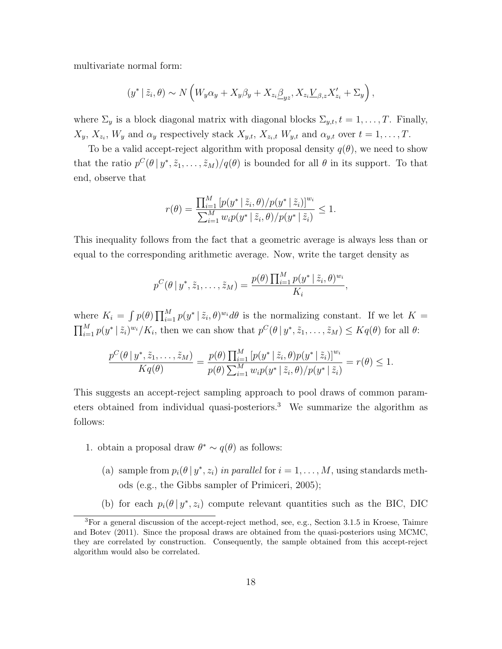multivariate normal form:

$$
(y^* | \tilde{z}_i, \theta) \sim N \left( W_y \alpha_y + X_y \beta_y + X_{z_i} \underline{\beta}_{yz}, X_{z_i} \underline{V}_{\beta, z} X'_{z_i} + \Sigma_y \right),
$$

where  $\Sigma_y$  is a block diagonal matrix with diagonal blocks  $\Sigma_{y,t}$ ,  $t = 1, \ldots, T$ . Finally,  $X_y, X_{z_i}, W_y$  and  $\alpha_y$  respectively stack  $X_{y,t}, X_{z_i,t}$   $W_{y,t}$  and  $\alpha_{y,t}$  over  $t = 1, \ldots, T$ .

To be a valid accept-reject algorithm with proposal density  $q(\theta)$ , we need to show that the ratio  $p^C(\theta | y^*, \tilde{z}_1, \ldots, \tilde{z}_M)/q(\theta)$  is bounded for all  $\theta$  in its support. To that end, observe that

$$
r(\theta) = \frac{\prod_{i=1}^{M} [p(y^* | \tilde{z}_i, \theta) / p(y^* | \tilde{z}_i)]^{w_i}}{\sum_{i=1}^{M} w_i p(y^* | \tilde{z}_i, \theta) / p(y^* | \tilde{z}_i)} \le 1.
$$

This inequality follows from the fact that a geometric average is always less than or equal to the corresponding arithmetic average. Now, write the target density as

$$
p^C(\theta \mid y^*, \tilde{z}_1, \dots, \tilde{z}_M) = \frac{p(\theta) \prod_{i=1}^M p(y^* \mid \tilde{z}_i, \theta)^{w_i}}{K_i},
$$

where  $K_i = \int p(\theta) \prod_{i=1}^M p(y^* | \tilde{z}_i, \theta)^{w_i} d\theta$  is the normalizing constant. If we let  $K =$  $\prod_{i=1}^{M} p(y^* | \tilde{z}_i)^{w_i} / K_i$ , then we can show that  $p^C(\theta | y^*, \tilde{z}_1, \dots, \tilde{z}_M) \leq K q(\theta)$  for all  $\theta$ :

$$
\frac{p^C(\theta \mid y^*, \tilde{z}_1, \dots, \tilde{z}_M)}{Kq(\theta)} = \frac{p(\theta) \prod_{i=1}^M [p(y^* \mid \tilde{z}_i, \theta) p(y^* \mid \tilde{z}_i)]^{w_i}}{p(\theta) \sum_{i=1}^M w_i p(y^* \mid \tilde{z}_i, \theta) / p(y^* \mid \tilde{z}_i)} = r(\theta) \le 1.
$$

This suggests an accept-reject sampling approach to pool draws of common parameters obtained from individual quasi-posteriors.<sup>3</sup> We summarize the algorithm as follows:

- 1. obtain a proposal draw  $\theta^* \sim q(\theta)$  as follows:
	- (a) sample from  $p_i(\theta | y^*, z_i)$  in parallel for  $i = 1, ..., M$ , using standards methods (e.g., the Gibbs sampler of Primiceri, 2005);
	- (b) for each  $p_i(\theta | y^*, z_i)$  compute relevant quantities such as the BIC, DIC

<sup>3</sup>For a general discussion of the accept-reject method, see, e.g., Section 3.1.5 in Kroese, Taimre and Botev (2011). Since the proposal draws are obtained from the quasi-posteriors using MCMC, they are correlated by construction. Consequently, the sample obtained from this accept-reject algorithm would also be correlated.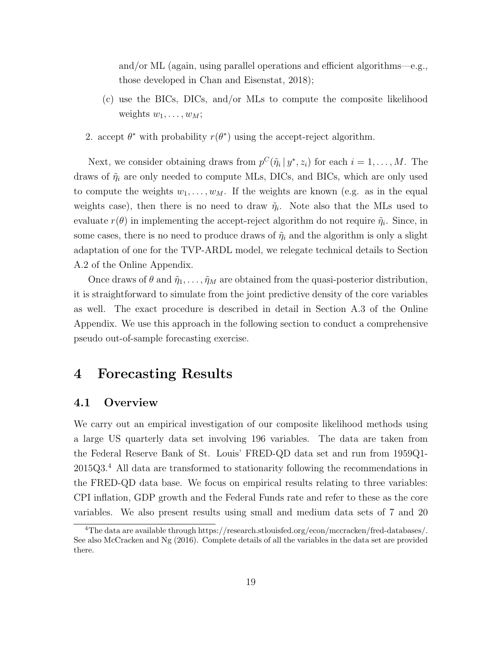and/or ML (again, using parallel operations and efficient algorithms—e.g., those developed in Chan and Eisenstat, 2018);

- (c) use the BICs, DICs, and/or MLs to compute the composite likelihood weights  $w_1, \ldots, w_M$ ;
- 2. accept  $\theta^*$  with probability  $r(\theta^*)$  using the accept-reject algorithm.

Next, we consider obtaining draws from  $p^{C}(\tilde{\eta}_i | y^*, z_i)$  for each  $i = 1, ..., M$ . The draws of  $\tilde{\eta}_i$  are only needed to compute MLs, DICs, and BICs, which are only used to compute the weights  $w_1, \ldots, w_M$ . If the weights are known (e.g. as in the equal weights case), then there is no need to draw  $\tilde{\eta}_i$ . Note also that the MLs used to evaluate  $r(\theta)$  in implementing the accept-reject algorithm do not require  $\tilde{\eta}_i$ . Since, in some cases, there is no need to produce draws of  $\tilde{\eta}_i$  and the algorithm is only a slight adaptation of one for the TVP-ARDL model, we relegate technical details to Section A.2 of the Online Appendix.

Once draws of  $\theta$  and  $\tilde{\eta}_1, \ldots, \tilde{\eta}_M$  are obtained from the quasi-posterior distribution, it is straightforward to simulate from the joint predictive density of the core variables as well. The exact procedure is described in detail in Section A.3 of the Online Appendix. We use this approach in the following section to conduct a comprehensive pseudo out-of-sample forecasting exercise.

### 4 Forecasting Results

#### 4.1 Overview

We carry out an empirical investigation of our composite likelihood methods using a large US quarterly data set involving 196 variables. The data are taken from the Federal Reserve Bank of St. Louis' FRED-QD data set and run from 1959Q1-  $2015Q3<sup>4</sup>$  All data are transformed to stationarity following the recommendations in the FRED-QD data base. We focus on empirical results relating to three variables: CPI inflation, GDP growth and the Federal Funds rate and refer to these as the core variables. We also present results using small and medium data sets of 7 and 20

<sup>4</sup>The data are available through https://research.stlouisfed.org/econ/mccracken/fred-databases/. See also McCracken and Ng (2016). Complete details of all the variables in the data set are provided there.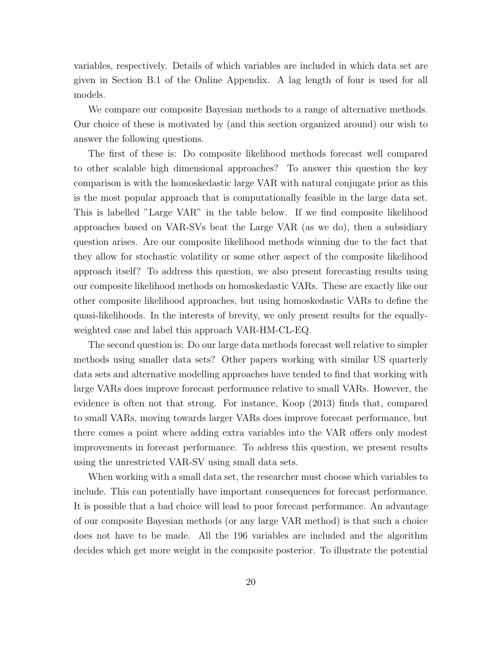variables, respectively. Details of which variables are included in which data set are given in Section B.1 of the Online Appendix. A lag length of four is used for all models.

We compare our composite Bayesian methods to a range of alternative methods. Our choice of these is motivated by (and this section organized around) our wish to answer the following questions.

The first of these is: Do composite likelihood methods forecast well compared to other scalable high dimensional approaches? To answer this question the key comparison is with the homoskedastic large VAR with natural conjugate prior as this is the most popular approach that is computationally feasible in the large data set. This is labelled "Large VAR" in the table below. If we find composite likelihood approaches based on VAR-SVs beat the Large VAR (as we do), then a subsidiary question arises. Are our composite likelihood methods winning due to the fact that they allow for stochastic volatility or some other aspect of the composite likelihood approach itself? To address this question, we also present forecasting results using our composite likelihood methods on homoskedastic VARs. These are exactly like our other composite likelihood approaches, but using homoskedastic VARs to define the quasi-likelihoods. In the interests of brevity, we only present results for the equallyweighted case and label this approach VAR-HM-CL-EQ.

The second question is: Do our large data methods forecast well relative to simpler methods using smaller data sets? Other papers working with similar US quarterly data sets and alternative modelling approaches have tended to find that working with large VARs does improve forecast performance relative to small VARs. However, the evidence is often not that strong. For instance, Koop (2013) finds that, compared to small VARs, moving towards larger VARs does improve forecast performance, but there comes a point where adding extra variables into the VAR offers only modest improvements in forecast performance. To address this question, we present results using the unrestricted VAR-SV using small data sets.

When working with a small data set, the researcher must choose which variables to include. This can potentially have important consequences for forecast performance. It is possible that a bad choice will lead to poor forecast performance. An advantage of our composite Bayesian methods (or any large VAR method) is that such a choice does not have to be made. All the 196 variables are included and the algorithm decides which get more weight in the composite posterior. To illustrate the potential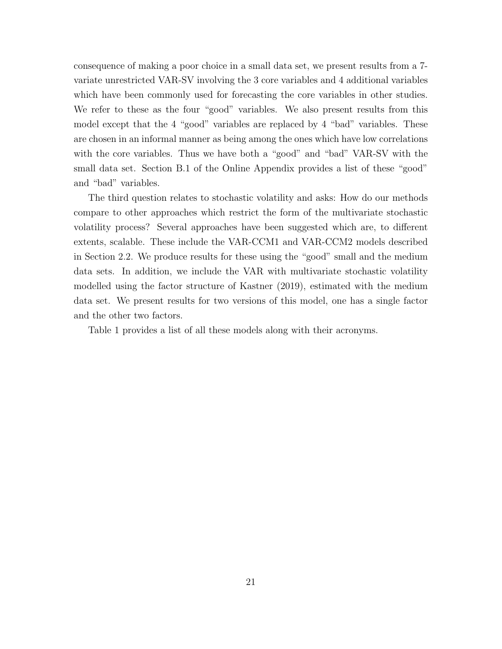consequence of making a poor choice in a small data set, we present results from a 7 variate unrestricted VAR-SV involving the 3 core variables and 4 additional variables which have been commonly used for forecasting the core variables in other studies. We refer to these as the four "good" variables. We also present results from this model except that the 4 "good" variables are replaced by 4 "bad" variables. These are chosen in an informal manner as being among the ones which have low correlations with the core variables. Thus we have both a "good" and "bad" VAR-SV with the small data set. Section B.1 of the Online Appendix provides a list of these "good" and "bad" variables.

The third question relates to stochastic volatility and asks: How do our methods compare to other approaches which restrict the form of the multivariate stochastic volatility process? Several approaches have been suggested which are, to different extents, scalable. These include the VAR-CCM1 and VAR-CCM2 models described in Section 2.2. We produce results for these using the "good" small and the medium data sets. In addition, we include the VAR with multivariate stochastic volatility modelled using the factor structure of Kastner (2019), estimated with the medium data set. We present results for two versions of this model, one has a single factor and the other two factors.

Table 1 provides a list of all these models along with their acronyms.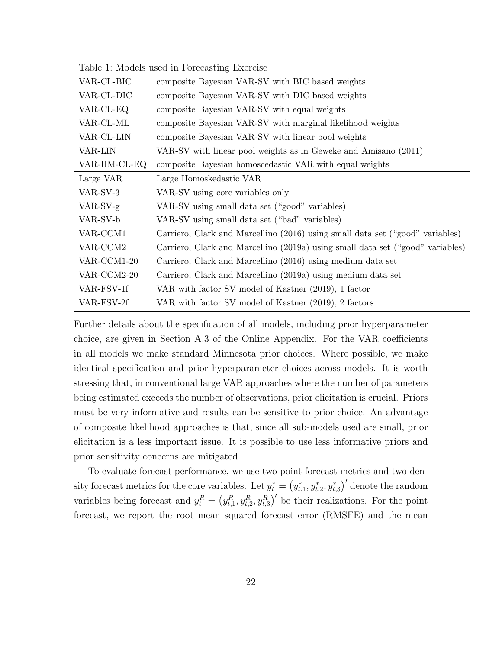| Table 1: Models used in Forecasting Exercise |                                                                                |  |  |  |  |
|----------------------------------------------|--------------------------------------------------------------------------------|--|--|--|--|
| VAR-CL-BIC                                   | composite Bayesian VAR-SV with BIC based weights                               |  |  |  |  |
| VAR-CL-DIC                                   | composite Bayesian VAR-SV with DIC based weights                               |  |  |  |  |
| VAR-CL-EQ                                    | composite Bayesian VAR-SV with equal weights                                   |  |  |  |  |
| VAR-CL-ML                                    | composite Bayesian VAR-SV with marginal likelihood weights                     |  |  |  |  |
| VAR-CL-LIN                                   | composite Bayesian VAR-SV with linear pool weights                             |  |  |  |  |
| VAR-LIN                                      | VAR-SV with linear pool weights as in Geweke and Amisano (2011)                |  |  |  |  |
| VAR-HM-CL-EQ                                 | composite Bayesian homoscedastic VAR with equal weights                        |  |  |  |  |
| Large VAR                                    | Large Homoskedastic VAR                                                        |  |  |  |  |
| VAR-SV-3                                     | VAR-SV using core variables only                                               |  |  |  |  |
| $VAR-SV-g$                                   | VAR-SV using small data set ("good" variables)                                 |  |  |  |  |
| VAR-SV-b                                     | VAR-SV using small data set ("bad" variables)                                  |  |  |  |  |
| VAR-CCM1                                     | Carriero, Clark and Marcellino (2016) using small data set ("good" variables)  |  |  |  |  |
| VAR-CCM2                                     | Carriero, Clark and Marcellino (2019a) using small data set ("good" variables) |  |  |  |  |
| VAR-CCM1-20                                  | Carriero, Clark and Marcellino (2016) using medium data set                    |  |  |  |  |
| VAR-CCM2-20                                  | Carriero, Clark and Marcellino (2019a) using medium data set                   |  |  |  |  |
| VAR-FSV-1f                                   | VAR with factor SV model of Kastner (2019), 1 factor                           |  |  |  |  |
| VAR-FSV-2f                                   | VAR with factor SV model of Kastner (2019), 2 factors                          |  |  |  |  |

Further details about the specification of all models, including prior hyperparameter choice, are given in Section A.3 of the Online Appendix. For the VAR coefficients in all models we make standard Minnesota prior choices. Where possible, we make identical specification and prior hyperparameter choices across models. It is worth stressing that, in conventional large VAR approaches where the number of parameters being estimated exceeds the number of observations, prior elicitation is crucial. Priors must be very informative and results can be sensitive to prior choice. An advantage of composite likelihood approaches is that, since all sub-models used are small, prior elicitation is a less important issue. It is possible to use less informative priors and prior sensitivity concerns are mitigated.

To evaluate forecast performance, we use two point forecast metrics and two density forecast metrics for the core variables. Let  $y_t^* = (y_{t,1}^*, y_{t,2}^*, y_{t,3}^*)'$  denote the random variables being forecast and  $y_t^R = (y_{t,1}^R, y_{t,2}^R, y_{t,3}^R)'$  be their realizations. For the point forecast, we report the root mean squared forecast error (RMSFE) and the mean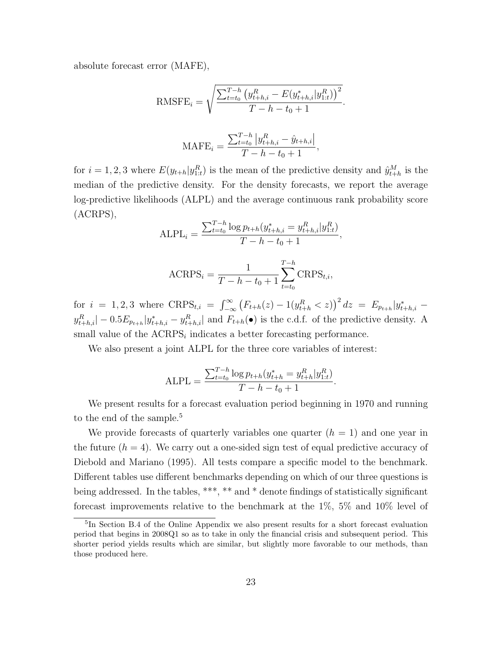absolute forecast error (MAFE),

RMSFE<sub>i</sub> = 
$$
\sqrt{\frac{\sum_{t=t_0}^{T-h} (y_{t+h,i}^R - E(y_{t+h,i}^*) | y_{1:t}^R)}{T - h - t_0 + 1}}
$$
.

$$
\text{MAFE}_{i} = \frac{\sum_{t=t_0}^{T-h} |y_{t+h,i}^R - \hat{y}_{t+h,i}|}{T - h - t_0 + 1},
$$

for  $i = 1, 2, 3$  where  $E(y_{t+h}|y_{1:t}^R)$  is the mean of the predictive density and  $\hat{y}_{t+h}^M$  is the median of the predictive density. For the density forecasts, we report the average log-predictive likelihoods (ALPL) and the average continuous rank probability score (ACRPS),

$$
ALPL_i = \frac{\sum_{t=t_0}^{T-h} \log p_{t+h}(y_{t+h,i}^* = y_{t+h,i}^R | y_{1:t}^R)}{T - h - t_0 + 1},
$$

$$
ACRPS_i = \frac{1}{T - h - t_0 + 1} \sum_{t = t_0}^{T - h} CRPS_{t, i},
$$

for  $i = 1, 2, 3$  where  $CRPS_{t,i} = \int_{-\infty}^{\infty} (F_{t+h}(z) - 1(y_{t+h}^R < z))^2 dz = E_{p_{t+h}}|y_{t+h,i}^* y_{t+h,i}^R$   $|-0.5E_{p_{t+h}}|y_{t+h,i}^* - y_{t+h,i}^R|$  and  $F_{t+h}(\bullet)$  is the c.d.f. of the predictive density. A small value of the  $ACRPS<sub>i</sub>$  indicates a better forecasting performance.

We also present a joint ALPL for the three core variables of interest:

$$
ALPL = \frac{\sum_{t=t_0}^{T-h} \log p_{t+h}(y_{t+h}^* = y_{t+h}^R | y_{1:t}^R)}{T - h - t_0 + 1}.
$$

We present results for a forecast evaluation period beginning in 1970 and running to the end of the sample.<sup>5</sup>

We provide forecasts of quarterly variables one quarter  $(h = 1)$  and one year in the future  $(h = 4)$ . We carry out a one-sided sign test of equal predictive accuracy of Diebold and Mariano (1995). All tests compare a specific model to the benchmark. Different tables use different benchmarks depending on which of our three questions is being addressed. In the tables, \*\*\*, \*\* and \* denote findings of statistically significant forecast improvements relative to the benchmark at the 1%, 5% and 10% level of

<sup>5</sup> In Section B.4 of the Online Appendix we also present results for a short forecast evaluation period that begins in 2008Q1 so as to take in only the financial crisis and subsequent period. This shorter period yields results which are similar, but slightly more favorable to our methods, than those produced here.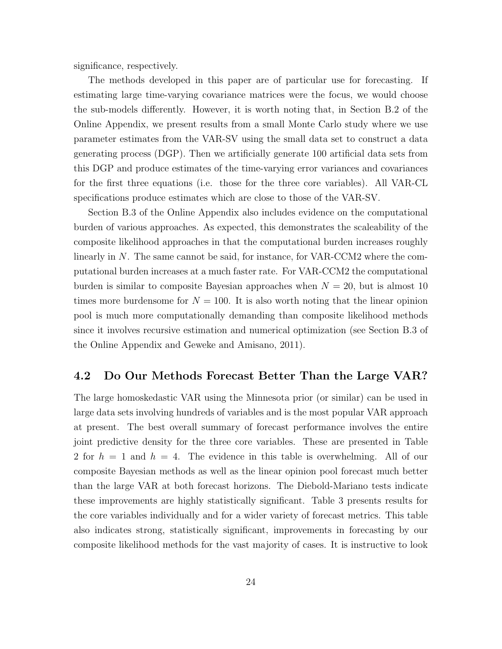significance, respectively.

The methods developed in this paper are of particular use for forecasting. If estimating large time-varying covariance matrices were the focus, we would choose the sub-models differently. However, it is worth noting that, in Section B.2 of the Online Appendix, we present results from a small Monte Carlo study where we use parameter estimates from the VAR-SV using the small data set to construct a data generating process (DGP). Then we artificially generate 100 artificial data sets from this DGP and produce estimates of the time-varying error variances and covariances for the first three equations (i.e. those for the three core variables). All VAR-CL specifications produce estimates which are close to those of the VAR-SV.

Section B.3 of the Online Appendix also includes evidence on the computational burden of various approaches. As expected, this demonstrates the scaleability of the composite likelihood approaches in that the computational burden increases roughly linearly in N. The same cannot be said, for instance, for VAR-CCM2 where the computational burden increases at a much faster rate. For VAR-CCM2 the computational burden is similar to composite Bayesian approaches when  $N = 20$ , but is almost 10 times more burdensome for  $N = 100$ . It is also worth noting that the linear opinion pool is much more computationally demanding than composite likelihood methods since it involves recursive estimation and numerical optimization (see Section B.3 of the Online Appendix and Geweke and Amisano, 2011).

#### 4.2 Do Our Methods Forecast Better Than the Large VAR?

The large homoskedastic VAR using the Minnesota prior (or similar) can be used in large data sets involving hundreds of variables and is the most popular VAR approach at present. The best overall summary of forecast performance involves the entire joint predictive density for the three core variables. These are presented in Table 2 for  $h = 1$  and  $h = 4$ . The evidence in this table is overwhelming. All of our composite Bayesian methods as well as the linear opinion pool forecast much better than the large VAR at both forecast horizons. The Diebold-Mariano tests indicate these improvements are highly statistically significant. Table 3 presents results for the core variables individually and for a wider variety of forecast metrics. This table also indicates strong, statistically significant, improvements in forecasting by our composite likelihood methods for the vast majority of cases. It is instructive to look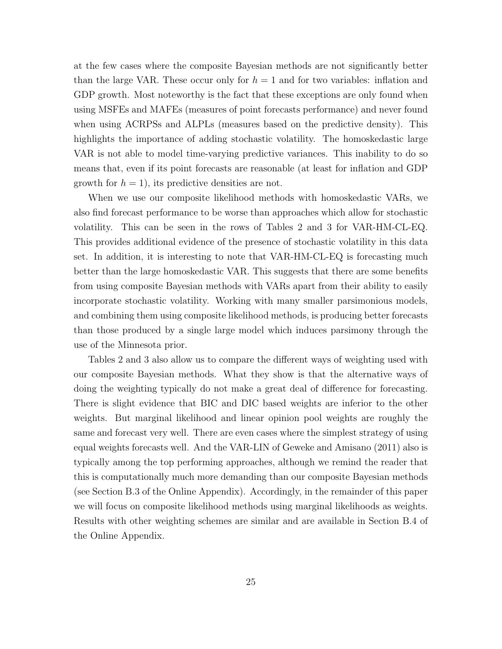at the few cases where the composite Bayesian methods are not significantly better than the large VAR. These occur only for  $h = 1$  and for two variables: inflation and GDP growth. Most noteworthy is the fact that these exceptions are only found when using MSFEs and MAFEs (measures of point forecasts performance) and never found when using ACRPSs and ALPLs (measures based on the predictive density). This highlights the importance of adding stochastic volatility. The homoskedastic large VAR is not able to model time-varying predictive variances. This inability to do so means that, even if its point forecasts are reasonable (at least for inflation and GDP growth for  $h = 1$ , its predictive densities are not.

When we use our composite likelihood methods with homoskedastic VARs, we also find forecast performance to be worse than approaches which allow for stochastic volatility. This can be seen in the rows of Tables 2 and 3 for VAR-HM-CL-EQ. This provides additional evidence of the presence of stochastic volatility in this data set. In addition, it is interesting to note that VAR-HM-CL-EQ is forecasting much better than the large homoskedastic VAR. This suggests that there are some benefits from using composite Bayesian methods with VARs apart from their ability to easily incorporate stochastic volatility. Working with many smaller parsimonious models, and combining them using composite likelihood methods, is producing better forecasts than those produced by a single large model which induces parsimony through the use of the Minnesota prior.

Tables 2 and 3 also allow us to compare the different ways of weighting used with our composite Bayesian methods. What they show is that the alternative ways of doing the weighting typically do not make a great deal of difference for forecasting. There is slight evidence that BIC and DIC based weights are inferior to the other weights. But marginal likelihood and linear opinion pool weights are roughly the same and forecast very well. There are even cases where the simplest strategy of using equal weights forecasts well. And the VAR-LIN of Geweke and Amisano (2011) also is typically among the top performing approaches, although we remind the reader that this is computationally much more demanding than our composite Bayesian methods (see Section B.3 of the Online Appendix). Accordingly, in the remainder of this paper we will focus on composite likelihood methods using marginal likelihoods as weights. Results with other weighting schemes are similar and are available in Section B.4 of the Online Appendix.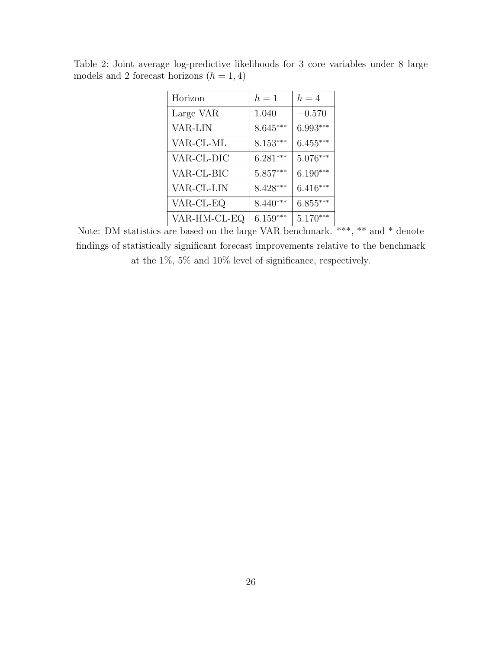| Horizon      | $h=1$      | $h=4$      |
|--------------|------------|------------|
| Large VAR    | 1.040      | $-0.570$   |
| VAR-LIN      | $8.645***$ | 6.993***   |
| VAR-CL-ML    | $8.153***$ | $6.455***$ |
| VAR-CL-DIC   | $6.281***$ | $5.076***$ |
| VAR-CL-BIC   | $5.857***$ | $6.190***$ |
| VAR-CL-LIN   | 8.428***   | $6.416***$ |
| VAR-CL-EQ    | $8.440***$ | $6.855***$ |
| VAR-HM-CL-EQ | $6.159***$ | $5.170***$ |

Table 2: Joint average log-predictive likelihoods for 3 core variables under 8 large models and 2 forecast horizons  $(h = 1, 4)$ 

Note: DM statistics are based on the large VAR benchmark. \*\*\*, \*\* and \* denote findings of statistically significant forecast improvements relative to the benchmark at the 1%, 5% and 10% level of significance, respectively.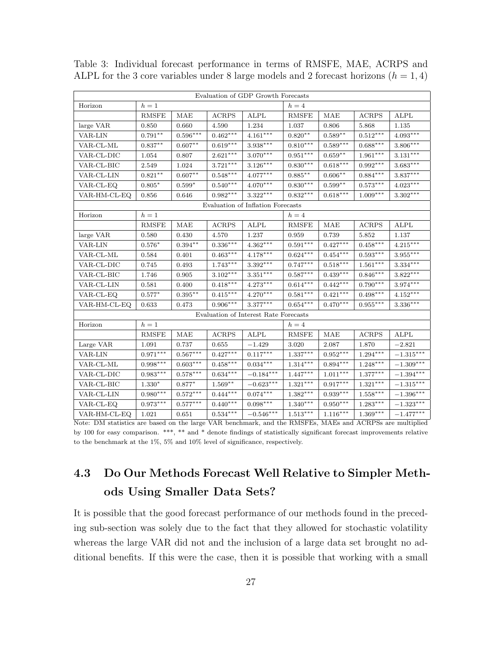| Evaluation of GDP Growth Forecasts |              |                        |                        |                                       |                        |                    |                        |                         |
|------------------------------------|--------------|------------------------|------------------------|---------------------------------------|------------------------|--------------------|------------------------|-------------------------|
| Horizon                            | $h=1$        |                        |                        |                                       | $h=4$                  |                    |                        |                         |
|                                    | <b>RMSFE</b> | <b>MAE</b>             | <b>ACRPS</b>           | <b>ALPL</b>                           | <b>RMSFE</b>           | <b>MAE</b>         | <b>ACRPS</b>           | <b>ALPL</b>             |
| large VAR                          | 0.850        | 0.660                  | 4.590                  | 1.234                                 | 1.037                  | 0.806              | 5.868                  | 1.135                   |
| VAR-LIN                            | $0.791**$    | $0.596***$             | $0.462***$             | $4.161***$                            | $0.820**$              | $0.589**$          | $0.512***$             | $4.093***$              |
| VAR-CL-ML                          | $0.837**$    | $0.607**$              | $0.619***$             | $3.938***$                            | $0.810***$             | $0.589***$         | $0.688***$             | $3.806***$              |
| VAR-CL-DIC                         | 1.054        | 0.807                  | $2.621***$             | $3.070***$                            | $0.951***$             | $0.659^{\ast\ast}$ | $1.961^{***}\,$        | $3.131***$              |
| VAR-CL-BIC                         | 2.549        | 1.024                  | $3.721***$             | $3.126***$                            | $0.830***$             | $0.618***$         | $0.992***$             | $3.683***$              |
| VAR-CL-LIN                         | $0.821**$    | $0.607^{\ast\ast}$     | $0.548^{\ast\ast\ast}$ | $4.077***$                            | $0.885***$             | $0.606**$          | $0.884^{***}\;$        | $3.837***$              |
| VAR-CL-EQ                          | $0.805*$     | $0.599*$               | $0.540***$             | $4.070***$                            | $0.830***$             | $0.599**$          | $0.573***$             | $4.023***$              |
| VAR-HM-CL-EQ                       | 0.856        | 0.646                  | $0.982***$             | $3.322***$                            | $0.832***$             | $0.618***$         | $1.009***$             | $3.302***$              |
|                                    |              |                        |                        | Evaluation of Inflation Forecasts     |                        |                    |                        |                         |
| Horizon                            | $h=1$        |                        |                        |                                       | $h=4$                  |                    |                        |                         |
|                                    | <b>RMSFE</b> | <b>MAE</b>             | <b>ACRPS</b>           | $\mathbf{ALPL}$                       | <b>RMSFE</b>           | <b>MAE</b>         | ACRPS                  | <b>ALPL</b>             |
| large VAR                          | 0.580        | 0.430                  | 4.570                  | 1.237                                 | 0.959                  | 0.739              | 5.852                  | 1.137                   |
| VAR-LIN                            | $0.576*$     | $0.394**$              | $0.336***$             | $4.362***$                            | $0.591***$             | $0.427***$         | $0.458***$             | $4.215***$              |
| VAR-CL-ML                          | 0.584        | 0.401                  | $0.463***$             | $4.178***$                            | $0.624***$             | $0.454***$         | $0.593***$             | $3.955***$              |
| VAR-CL-DIC                         | 0.745        | 0.493                  | $1.743***$             | $3.392***$                            | $0.747***$             | $0.518^{***}\,$    | $1.561***$             | $3.334^{***}\,$         |
| VAR-CL-BIC                         | 1.746        | 0.905                  | $3.102***$             | $3.351^{\ast\ast\ast}$                | $0.587***$             | $0.439^{***}\,$    | $0.846^{***}\;$        | $3.822***$              |
| VAR-CL-LIN                         | 0.581        | 0.400                  | $0.418***$             | $4.273***$                            | $0.614***$             | $0.442***$         | $0.790***$             | $3.974***$              |
| VAR-CL-EQ                          | $0.577*$     | $0.395**$              | $0.415***$             | $4.270***$                            | $0.581***$             | $0.421***$         | $0.498***$             | $4.152***$              |
| VAR-HM-CL-EQ                       | 0.633        | 0.473                  | $0.906***$             | $3.377^{\ast\ast\ast}$                | $0.654***$             | $0.470***$         | $0.955^{\ast\ast\ast}$ | $3.336^{***}\,$         |
|                                    |              |                        |                        | Evaluation of Interest Rate Forecasts |                        |                    |                        |                         |
| Horizon                            | $h=1$        |                        |                        |                                       | $h=4$                  |                    |                        |                         |
|                                    | <b>RMSFE</b> | <b>MAE</b>             | <b>ACRPS</b>           | ALPL                                  | <b>RMSFE</b>           | <b>MAE</b>         | <b>ACRPS</b>           | <b>ALPL</b>             |
| Large VAR                          | 1.091        | 0.737                  | 0.655                  | $-1.429$                              | 3.020                  | 2.087              | 1.870                  | $-2.821$                |
| VAR-LIN                            | $0.971***$   | $0.567^{\ast\ast\ast}$ | $0.427***$             | $0.117***$                            | $1.337***$             | $0.952***$         | $1.294***$             | $-1.315***$             |
| VAR-CL-ML                          | $0.998***$   | $0.603***$             | $0.458***$             | $0.034***$                            | $1.314***$             | $0.894***$         | $1.248***$             | $-1.309***$             |
| VAR-CL-DIC                         | $0.983***$   | $0.578***$             | $0.634***$             | $-0.184***$                           | $1.447***$             | $1.011***$         | $1.377^{***}\;$        | $-1.394***$             |
| VAR-CL-BIC                         | $1.330*$     | $0.877^{\ast}$         | $1.569^{\ast\ast}$     | $-0.623***$                           | $1.321^{\ast\ast\ast}$ | $0.917***$         | $1.321^{\ast\ast\ast}$ | $-1.315^{\ast\ast\ast}$ |
| VAR-CL-LIN                         | $0.980***$   | $0.572***$             | $0.444***$             | $0.074***$                            | $1.382***$             | $0.939***$         | $1.558***$             | $-1.396***$             |
| VAR-CL-EQ                          | $0.973***$   | $0.577***$             | $0.440***$             | $0.098***$                            | $1.340***$             | $0.950***$         | $1.283***$             | $-1.323***$             |
| VAR-HM-CL-EQ                       | 1.021        | 0.651                  | $0.534^{\ast\ast\ast}$ | $-0.546***$                           | $1.513^{\ast\ast\ast}$ | $1.116***$         | $1.369***$             | $-1.477***$             |

Table 3: Individual forecast performance in terms of RMSFE, MAE, ACRPS and ALPL for the 3 core variables under 8 large models and 2 forecast horizons  $(h = 1, 4)$ 

Note: DM statistics are based on the large VAR benchmark, and the RMSFEs, MAEs and ACRPSs are multiplied by 100 for easy comparison. \*\*\*, \*\* and \* denote findings of statistically significant forecast improvements relative to the benchmark at the  $1\%,\,5\%$  and  $10\%$  level of significance, respectively.

## 4.3 Do Our Methods Forecast Well Relative to Simpler Methods Using Smaller Data Sets?

It is possible that the good forecast performance of our methods found in the preceding sub-section was solely due to the fact that they allowed for stochastic volatility whereas the large VAR did not and the inclusion of a large data set brought no additional benefits. If this were the case, then it is possible that working with a small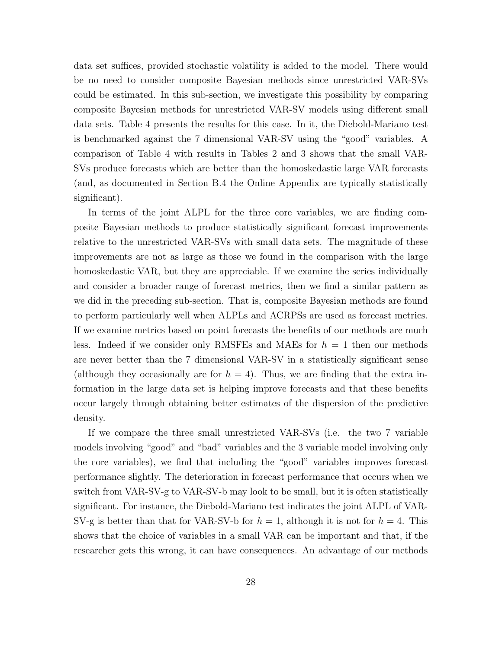data set suffices, provided stochastic volatility is added to the model. There would be no need to consider composite Bayesian methods since unrestricted VAR-SVs could be estimated. In this sub-section, we investigate this possibility by comparing composite Bayesian methods for unrestricted VAR-SV models using different small data sets. Table 4 presents the results for this case. In it, the Diebold-Mariano test is benchmarked against the 7 dimensional VAR-SV using the "good" variables. A comparison of Table 4 with results in Tables 2 and 3 shows that the small VAR-SVs produce forecasts which are better than the homoskedastic large VAR forecasts (and, as documented in Section B.4 the Online Appendix are typically statistically significant).

In terms of the joint ALPL for the three core variables, we are finding composite Bayesian methods to produce statistically significant forecast improvements relative to the unrestricted VAR-SVs with small data sets. The magnitude of these improvements are not as large as those we found in the comparison with the large homoskedastic VAR, but they are appreciable. If we examine the series individually and consider a broader range of forecast metrics, then we find a similar pattern as we did in the preceding sub-section. That is, composite Bayesian methods are found to perform particularly well when ALPLs and ACRPSs are used as forecast metrics. If we examine metrics based on point forecasts the benefits of our methods are much less. Indeed if we consider only RMSFEs and MAEs for  $h = 1$  then our methods are never better than the 7 dimensional VAR-SV in a statistically significant sense (although they occasionally are for  $h = 4$ ). Thus, we are finding that the extra information in the large data set is helping improve forecasts and that these benefits occur largely through obtaining better estimates of the dispersion of the predictive density.

If we compare the three small unrestricted VAR-SVs (i.e. the two 7 variable models involving "good" and "bad" variables and the 3 variable model involving only the core variables), we find that including the "good" variables improves forecast performance slightly. The deterioration in forecast performance that occurs when we switch from VAR-SV-g to VAR-SV-b may look to be small, but it is often statistically significant. For instance, the Diebold-Mariano test indicates the joint ALPL of VAR-SV-g is better than that for VAR-SV-b for  $h = 1$ , although it is not for  $h = 4$ . This shows that the choice of variables in a small VAR can be important and that, if the researcher gets this wrong, it can have consequences. An advantage of our methods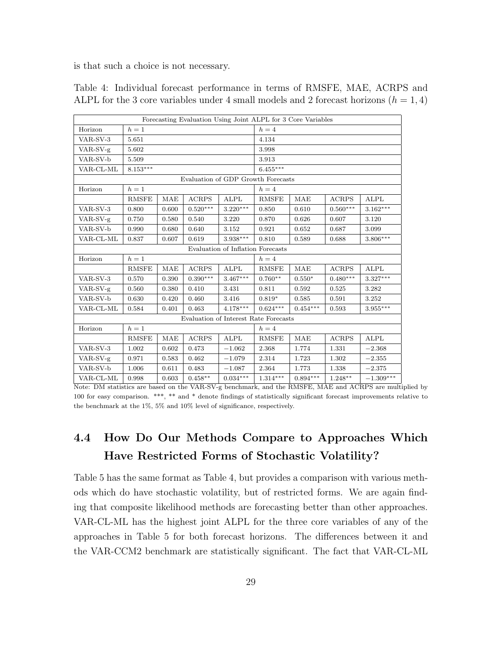is that such a choice is not necessary.

| Forecasting Evaluation Using Joint ALPL for 3 Core Variables |              |       |              |                                   |                 |            |              |                 |  |
|--------------------------------------------------------------|--------------|-------|--------------|-----------------------------------|-----------------|------------|--------------|-----------------|--|
| Horizon                                                      | $h=1$        |       |              |                                   | $h=4$           |            |              |                 |  |
| VAR-SV-3                                                     | 5.651        |       |              |                                   |                 | 4.134      |              |                 |  |
| VAR-SV-g                                                     | 5.602        |       |              |                                   | 3.998           |            |              |                 |  |
| VAR-SV-b                                                     | 5.509        |       |              |                                   | 3.913           |            |              |                 |  |
| VAR-CL-ML                                                    | $8.153***$   |       |              |                                   | $6.455***$      |            |              |                 |  |
| Evaluation of GDP Growth Forecasts                           |              |       |              |                                   |                 |            |              |                 |  |
| Horizon                                                      | $h=1$        |       |              |                                   | $h=4$           |            |              |                 |  |
|                                                              | <b>RMSFE</b> | MAE   | <b>ACRPS</b> | ALPL                              | <b>RMSFE</b>    | MAE        | <b>ACRPS</b> | <b>ALPL</b>     |  |
| VAR-SV-3                                                     | 0.800        | 0.600 | $0.520***$   | $3.220***$                        | 0.850           | 0.610      | $0.560***$   | $3.162***$      |  |
| $VAR-SV-g$                                                   | 0.750        | 0.580 | 0.540        | 3.220                             | 0.870           | 0.626      | 0.607        | 3.120           |  |
| VAR-SV-b                                                     | 0.990        | 0.680 | 0.640        | 3.152                             | 0.921           | 0.652      | 0.687        | 3.099           |  |
| VAR-CL-ML                                                    | 0.837        | 0.607 | 0.619        | 3.938***                          | 0.810           | 0.589      | 0.688        | $3.806***$      |  |
|                                                              |              |       |              | Evaluation of Inflation Forecasts |                 |            |              |                 |  |
| Horizon                                                      | $h=1$        |       |              |                                   | $h=4$           |            |              |                 |  |
|                                                              | <b>RMSFE</b> | MAE   | <b>ACRPS</b> | <b>ALPL</b>                       | <b>RMSFE</b>    | <b>MAE</b> | <b>ACRPS</b> | <b>ALPL</b>     |  |
| VAR-SV-3                                                     | 0.570        | 0.390 | $0.390***$   | $3.467***$                        | $0.760**$       | $0.550*$   | $0.480***$   | $3.327***$      |  |
| VAR-SV-g                                                     | 0.560        | 0.380 | 0.410        | 3.431                             | 0.811           | 0.592      | 0.525        | 3.282           |  |
| VAR-SV-b                                                     | 0.630        | 0.420 | 0.460        | 3.416                             | $0.819*$        | 0.585      | 0.591        | 3.252           |  |
| VAR-CL-ML                                                    | 0.584        | 0.401 | 0.463        | $4.178***$                        | $0.624***$      | $0.454***$ | 0.593        | $3.955^{***}\,$ |  |
| Evaluation of Interest Rate Forecasts                        |              |       |              |                                   |                 |            |              |                 |  |
| Horizon                                                      | $h=1$        |       |              |                                   | $h=4$           |            |              |                 |  |
|                                                              | <b>RMSFE</b> | MAE   | <b>ACRPS</b> | ALPL                              | <b>RMSFE</b>    | MAE        | <b>ACRPS</b> | ALPL            |  |
| VAR-SV-3                                                     | 1.002        | 0.602 | 0.473        | $-1.062$                          | 2.368           | 1.774      | 1.331        | $-2.368$        |  |
| VAR-SV-g                                                     | 0.971        | 0.583 | 0.462        | $-1.079$                          | 2.314           | 1.723      | 1.302        | $-2.355$        |  |
| VAR-SV-b                                                     | 1.006        | 0.611 | 0.483        | $-1.087$                          | 2.364           | 1.773      | 1.338        | $-2.375$        |  |
| VAR-CL-ML                                                    | 0.998        | 0.603 | $0.458**$    | $0.034***$                        | $1.314^{***}\;$ | $0.894***$ | $1.248***$   | $-1.309***$     |  |

Table 4: Individual forecast performance in terms of RMSFE, MAE, ACRPS and ALPL for the 3 core variables under 4 small models and 2 forecast horizons  $(h = 1, 4)$ 

Note: DM statistics are based on the VAR-SV-g benchmark, and the RMSFE, MAE and ACRPS are multiplied by 100 for easy comparison. \*\*\*, \*\* and \* denote findings of statistically significant forecast improvements relative to the benchmark at the 1%, 5% and 10% level of significance, respectively.

## 4.4 How Do Our Methods Compare to Approaches Which Have Restricted Forms of Stochastic Volatility?

Table 5 has the same format as Table 4, but provides a comparison with various methods which do have stochastic volatility, but of restricted forms. We are again finding that composite likelihood methods are forecasting better than other approaches. VAR-CL-ML has the highest joint ALPL for the three core variables of any of the approaches in Table 5 for both forecast horizons. The differences between it and the VAR-CCM2 benchmark are statistically significant. The fact that VAR-CL-ML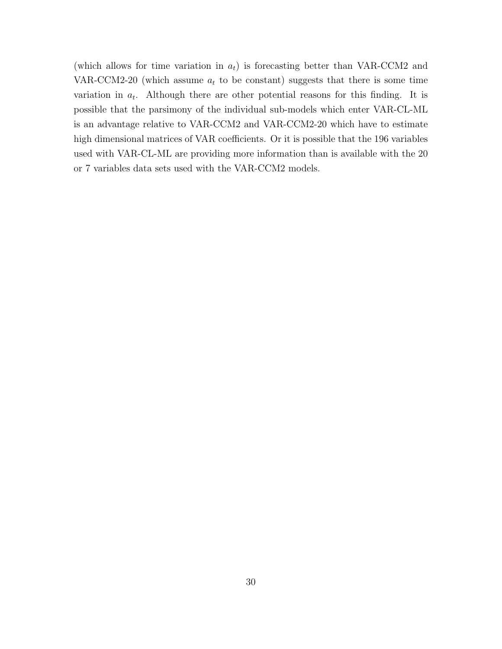(which allows for time variation in  $a_t$ ) is forecasting better than VAR-CCM2 and VAR-CCM2-20 (which assume  $a_t$  to be constant) suggests that there is some time variation in  $a_t$ . Although there are other potential reasons for this finding. It is possible that the parsimony of the individual sub-models which enter VAR-CL-ML is an advantage relative to VAR-CCM2 and VAR-CCM2-20 which have to estimate high dimensional matrices of VAR coefficients. Or it is possible that the 196 variables used with VAR-CL-ML are providing more information than is available with the 20 or 7 variables data sets used with the VAR-CCM2 models.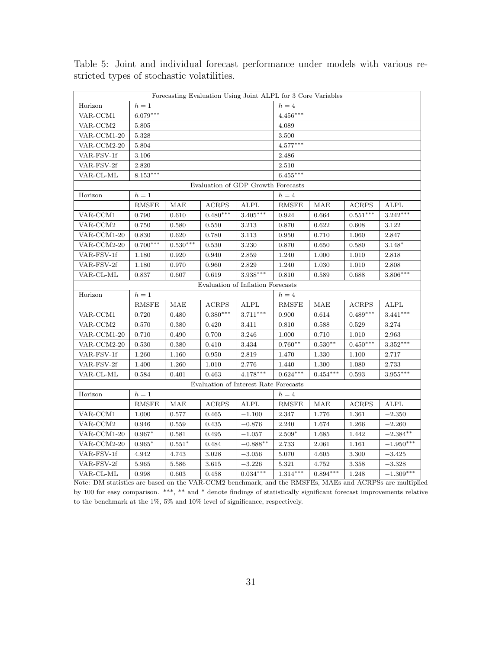| Forecasting Evaluation Using Joint ALPL for 3 Core Variables |              |                                                                   |              |                                       |              |            |              |             |  |
|--------------------------------------------------------------|--------------|-------------------------------------------------------------------|--------------|---------------------------------------|--------------|------------|--------------|-------------|--|
| Horizon                                                      | $h=1$        |                                                                   |              |                                       | $h=4$        |            |              |             |  |
| VAR-CCM1                                                     | $6.079***$   |                                                                   |              |                                       | $4.456***$   |            |              |             |  |
| VAR-CCM2                                                     | 5.805        |                                                                   |              |                                       |              | 4.089      |              |             |  |
| VAR-CCM1-20                                                  | 5.328        |                                                                   |              |                                       | 3.500        |            |              |             |  |
| VAR-CCM2-20                                                  | 5.804        |                                                                   |              |                                       | $4.577***$   |            |              |             |  |
| VAR-FSV-1f                                                   | 3.106        |                                                                   |              |                                       | 2.486        |            |              |             |  |
| VAR-FSV-2f                                                   | 2.820        |                                                                   |              |                                       | 2.510        |            |              |             |  |
| VAR-CL-ML                                                    | $8.153***$   |                                                                   |              |                                       | $6.455***$   |            |              |             |  |
| Evaluation of GDP Growth Forecasts                           |              |                                                                   |              |                                       |              |            |              |             |  |
| Horizon                                                      | $h=1$        |                                                                   |              |                                       | $h=4$        |            |              |             |  |
|                                                              | <b>RMSFE</b> | MAE                                                               | <b>ACRPS</b> | <b>ALPL</b>                           | <b>RMSFE</b> | MAE        | <b>ACRPS</b> | ALPL        |  |
| VAR-CCM1                                                     | 0.790        | 0.610                                                             | $0.480***$   | $3.405***$                            | 0.924        | 0.664      | $0.551***$   | $3.242***$  |  |
| $\ensuremath{\text{VAR}\text{-}\text{CCM2}}$                 | 0.750        | 0.580                                                             | 0.550        | 3.213                                 | 0.870        | 0.622      | 0.608        | 3.122       |  |
| VAR-CCM1-20                                                  | 0.830        | 0.620                                                             | 0.780        | 3.113                                 | 0.950        | 0.710      | 1.060        | 2.847       |  |
| VAR-CCM2-20                                                  | $0.700***$   | $0.530***$                                                        | 0.530        | 3.230                                 | 0.870        | 0.650      | 0.580        | $3.148*$    |  |
| VAR-FSV-1f                                                   | 1.180        | 0.920                                                             | 0.940        | 2.859                                 | 1.240        | 1.000      | 1.010        | 2.818       |  |
| VAR-FSV-2f                                                   | 1.180        | 0.970                                                             | 0.960        | 2.829                                 | 1.240        | 1.030      | 1.010        | 2.808       |  |
| VAR-CL-ML                                                    | 0.837        | 0.607                                                             | 0.619        | $3.938***$                            | 0.810        | 0.589      | 0.688        | $3.806***$  |  |
|                                                              |              |                                                                   |              | Evaluation of Inflation Forecasts     |              |            |              |             |  |
| Horizon                                                      | $h=1$        |                                                                   |              |                                       | $h=4$        |            |              |             |  |
|                                                              | <b>RMSFE</b> | MAE                                                               | <b>ACRPS</b> | ALPL                                  | <b>RMSFE</b> | MAE        | <b>ACRPS</b> | ALPL        |  |
| VAR-CCM1                                                     | 0.720        | 0.480                                                             | $0.380***$   | $3.711***$                            | 0.900        | 0.614      | $0.489***$   | $3.441***$  |  |
| VAR-CCM2                                                     | 0.570        | 0.380                                                             | 0.420        | 3.411                                 | 0.810        | 0.588      | 0.529        | 3.274       |  |
| VAR-CCM1-20                                                  | 0.710        | 0.490                                                             | 0.700        | 3.246                                 | 1.000        | 0.710      | 1.010        | 2.963       |  |
| VAR-CCM2-20                                                  | 0.530        | 0.380                                                             | 0.410        | 3.434                                 | $0.760**$    | $0.530**$  | $0.450***$   | $3.352***$  |  |
| VAR-FSV-1f                                                   | 1.260        | 1.160                                                             | 0.950        | 2.819                                 | 1.470        | 1.330      | 1.100        | 2.717       |  |
| VAR-FSV-2f                                                   | 1.400        | 1.260                                                             | 1.010        | 2.776                                 | 1.440        | 1.300      | 1.080        | 2.733       |  |
| VAR-CL-ML                                                    | 0.584        | 0.401                                                             | 0.463        | $4.178***$                            | $0.624***$   | $0.454***$ | 0.593        | $3.955***$  |  |
|                                                              |              |                                                                   |              | Evaluation of Interest Rate Forecasts |              |            |              |             |  |
| Horizon                                                      | $h=1$        |                                                                   |              |                                       | $h=4$        |            |              |             |  |
|                                                              | <b>RMSFE</b> | MAE                                                               | <b>ACRPS</b> | <b>ALPL</b>                           | <b>RMSFE</b> | MAE        | <b>ACRPS</b> | ALPL        |  |
| VAR-CCM1                                                     | 1.000        | 0.577                                                             | 0.465        | $-1.100\,$                            | 2.347        | 1.776      | 1.361        | $-2.350$    |  |
| VAR-CCM2                                                     | 0.946        | 0.559                                                             | 0.435        | $-0.876$                              | 2.240        | 1.674      | 1.266        | $-2.260$    |  |
| VAR-CCM1-20                                                  | $0.967*$     | 0.581                                                             | 0.495        | $-1.057$                              | $2.509*$     | 1.685      | 1.442        | $-2.384**$  |  |
| VAR-CCM2-20                                                  | $0.965*$     | $0.551*$                                                          | 0.484        | $-0.888**$                            | 2.733        | 2.061      | 1.161        | $-1.950***$ |  |
| VAR-FSV-1f                                                   | 4.942        | 4.743<br>3.028<br>$-3.056$<br>5.070<br>4.605<br>3.300<br>$-3.425$ |              |                                       |              |            |              |             |  |
| VAR-FSV-2f                                                   | 5.965        | 5.586                                                             | 3.615        | $-3.226$                              | 5.321        | 4.752      | 3.358        | $-3.328$    |  |
| VAR-CL-ML                                                    | 0.998        | 0.603                                                             | 0.458        | $0.034***$                            | $1.314***$   | $0.894***$ | 1.248        | $-1.309***$ |  |

Table 5: Joint and individual forecast performance under models with various restricted types of stochastic volatilities.

Note: DM statistics are based on the VAR-CCM2 benchmark, and the RMSFEs, MAEs and ACRPSs are multiplied by 100 for easy comparison. \*\*\*, \*\* and \* denote findings of statistically significant forecast improvements relative to the benchmark at the 1%, 5% and 10% level of significance, respectively.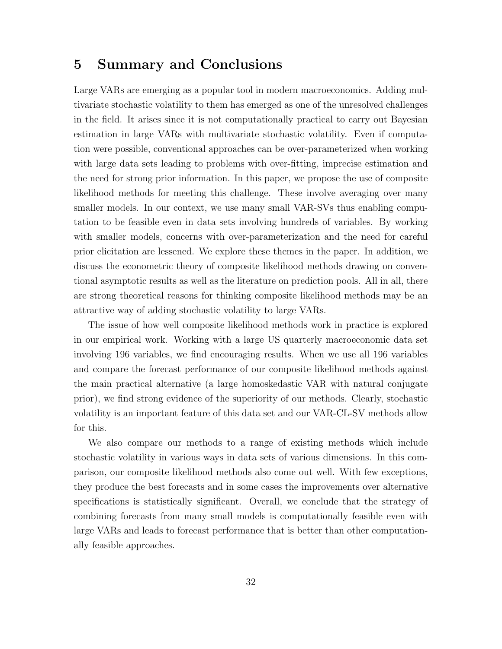### 5 Summary and Conclusions

Large VARs are emerging as a popular tool in modern macroeconomics. Adding multivariate stochastic volatility to them has emerged as one of the unresolved challenges in the field. It arises since it is not computationally practical to carry out Bayesian estimation in large VARs with multivariate stochastic volatility. Even if computation were possible, conventional approaches can be over-parameterized when working with large data sets leading to problems with over-fitting, imprecise estimation and the need for strong prior information. In this paper, we propose the use of composite likelihood methods for meeting this challenge. These involve averaging over many smaller models. In our context, we use many small VAR-SVs thus enabling computation to be feasible even in data sets involving hundreds of variables. By working with smaller models, concerns with over-parameterization and the need for careful prior elicitation are lessened. We explore these themes in the paper. In addition, we discuss the econometric theory of composite likelihood methods drawing on conventional asymptotic results as well as the literature on prediction pools. All in all, there are strong theoretical reasons for thinking composite likelihood methods may be an attractive way of adding stochastic volatility to large VARs.

The issue of how well composite likelihood methods work in practice is explored in our empirical work. Working with a large US quarterly macroeconomic data set involving 196 variables, we find encouraging results. When we use all 196 variables and compare the forecast performance of our composite likelihood methods against the main practical alternative (a large homoskedastic VAR with natural conjugate prior), we find strong evidence of the superiority of our methods. Clearly, stochastic volatility is an important feature of this data set and our VAR-CL-SV methods allow for this.

We also compare our methods to a range of existing methods which include stochastic volatility in various ways in data sets of various dimensions. In this comparison, our composite likelihood methods also come out well. With few exceptions, they produce the best forecasts and in some cases the improvements over alternative specifications is statistically significant. Overall, we conclude that the strategy of combining forecasts from many small models is computationally feasible even with large VARs and leads to forecast performance that is better than other computationally feasible approaches.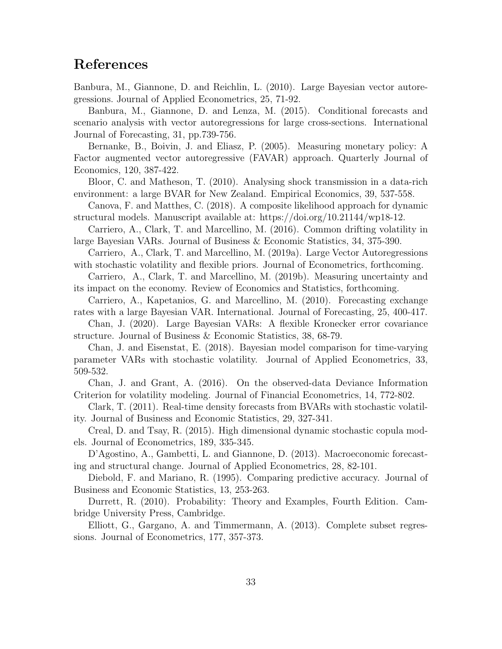## References

Banbura, M., Giannone, D. and Reichlin, L. (2010). Large Bayesian vector autoregressions. Journal of Applied Econometrics, 25, 71-92.

Banbura, M., Giannone, D. and Lenza, M. (2015). Conditional forecasts and scenario analysis with vector autoregressions for large cross-sections. International Journal of Forecasting, 31, pp.739-756.

Bernanke, B., Boivin, J. and Eliasz, P. (2005). Measuring monetary policy: A Factor augmented vector autoregressive (FAVAR) approach. Quarterly Journal of Economics, 120, 387-422.

Bloor, C. and Matheson, T. (2010). Analysing shock transmission in a data-rich environment: a large BVAR for New Zealand. Empirical Economics, 39, 537-558.

Canova, F. and Matthes, C. (2018). A composite likelihood approach for dynamic structural models. Manuscript available at: https://doi.org/10.21144/wp18-12.

Carriero, A., Clark, T. and Marcellino, M. (2016). Common drifting volatility in large Bayesian VARs. Journal of Business & Economic Statistics, 34, 375-390.

Carriero, A., Clark, T. and Marcellino, M. (2019a). Large Vector Autoregressions with stochastic volatility and flexible priors. Journal of Econometrics, forthcoming.

Carriero, A., Clark, T. and Marcellino, M. (2019b). Measuring uncertainty and its impact on the economy. Review of Economics and Statistics, forthcoming.

Carriero, A., Kapetanios, G. and Marcellino, M. (2010). Forecasting exchange rates with a large Bayesian VAR. International. Journal of Forecasting, 25, 400-417.

Chan, J. (2020). Large Bayesian VARs: A flexible Kronecker error covariance structure. Journal of Business & Economic Statistics, 38, 68-79.

Chan, J. and Eisenstat, E. (2018). Bayesian model comparison for time-varying parameter VARs with stochastic volatility. Journal of Applied Econometrics, 33, 509-532.

Chan, J. and Grant, A. (2016). On the observed-data Deviance Information Criterion for volatility modeling. Journal of Financial Econometrics, 14, 772-802.

Clark, T. (2011). Real-time density forecasts from BVARs with stochastic volatility. Journal of Business and Economic Statistics, 29, 327-341.

Creal, D. and Tsay, R. (2015). High dimensional dynamic stochastic copula models. Journal of Econometrics, 189, 335-345.

D'Agostino, A., Gambetti, L. and Giannone, D. (2013). Macroeconomic forecasting and structural change. Journal of Applied Econometrics, 28, 82-101.

Diebold, F. and Mariano, R. (1995). Comparing predictive accuracy. Journal of Business and Economic Statistics, 13, 253-263.

Durrett, R. (2010). Probability: Theory and Examples, Fourth Edition. Cambridge University Press, Cambridge.

Elliott, G., Gargano, A. and Timmermann, A. (2013). Complete subset regressions. Journal of Econometrics, 177, 357-373.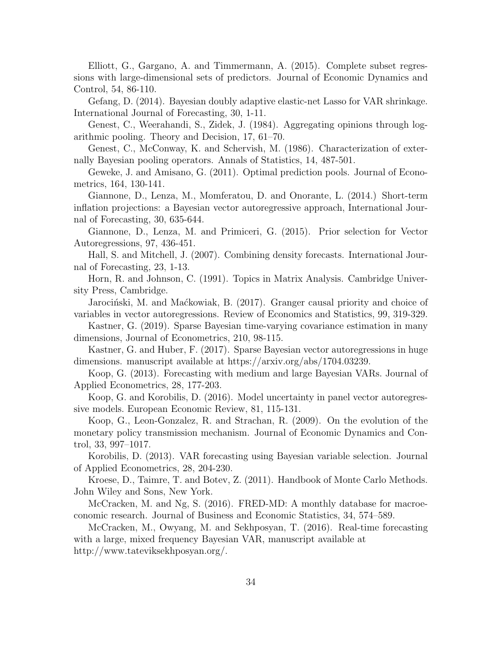Elliott, G., Gargano, A. and Timmermann, A. (2015). Complete subset regressions with large-dimensional sets of predictors. Journal of Economic Dynamics and Control, 54, 86-110.

Gefang, D. (2014). Bayesian doubly adaptive elastic-net Lasso for VAR shrinkage. International Journal of Forecasting, 30, 1-11.

Genest, C., Weerahandi, S., Zidek, J. (1984). Aggregating opinions through logarithmic pooling. Theory and Decision, 17, 61–70.

Genest, C., McConway, K. and Schervish, M. (1986). Characterization of externally Bayesian pooling operators. Annals of Statistics, 14, 487-501.

Geweke, J. and Amisano, G. (2011). Optimal prediction pools. Journal of Econometrics, 164, 130-141.

Giannone, D., Lenza, M., Momferatou, D. and Onorante, L. (2014.) Short-term inflation projections: a Bayesian vector autoregressive approach, International Journal of Forecasting, 30, 635-644.

Giannone, D., Lenza, M. and Primiceri, G. (2015). Prior selection for Vector Autoregressions, 97, 436-451.

Hall, S. and Mitchell, J. (2007). Combining density forecasts. International Journal of Forecasting, 23, 1-13.

Horn, R. and Johnson, C. (1991). Topics in Matrix Analysis. Cambridge University Press, Cambridge.

Jarociński, M. and Maćkowiak, B. (2017). Granger causal priority and choice of variables in vector autoregressions. Review of Economics and Statistics, 99, 319-329.

Kastner, G. (2019). Sparse Bayesian time-varying covariance estimation in many dimensions, Journal of Econometrics, 210, 98-115.

Kastner, G. and Huber, F. (2017). Sparse Bayesian vector autoregressions in huge dimensions. manuscript available at https://arxiv.org/abs/1704.03239.

Koop, G. (2013). Forecasting with medium and large Bayesian VARs. Journal of Applied Econometrics, 28, 177-203.

Koop, G. and Korobilis, D. (2016). Model uncertainty in panel vector autoregressive models. European Economic Review, 81, 115-131.

Koop, G., Leon-Gonzalez, R. and Strachan, R. (2009). On the evolution of the monetary policy transmission mechanism. Journal of Economic Dynamics and Control, 33, 997–1017.

Korobilis, D. (2013). VAR forecasting using Bayesian variable selection. Journal of Applied Econometrics, 28, 204-230.

Kroese, D., Taimre, T. and Botev, Z. (2011). Handbook of Monte Carlo Methods. John Wiley and Sons, New York.

McCracken, M. and Ng, S. (2016). FRED-MD: A monthly database for macroeconomic research. Journal of Business and Economic Statistics, 34, 574–589.

McCracken, M., Owyang, M. and Sekhposyan, T. (2016). Real-time forecasting with a large, mixed frequency Bayesian VAR, manuscript available at http://www.tateviksekhposyan.org/.